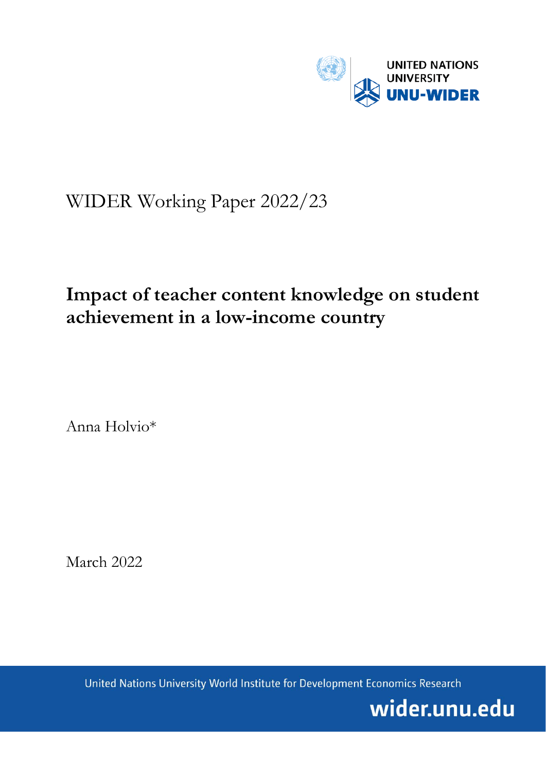

# WIDER Working Paper 2022/23

## **Impact of teacher content knowledge on student achievement in a low-income country**

Anna Holvio\*

March 2022

United Nations University World Institute for Development Economics Research

wider.unu.edu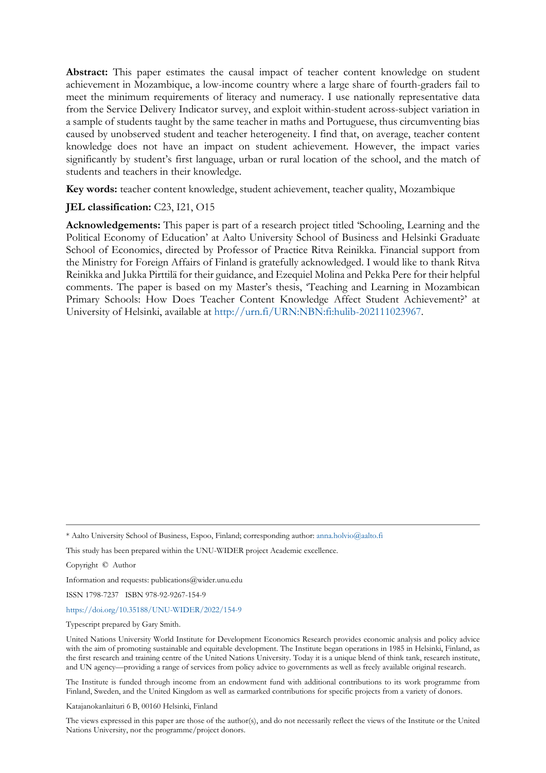**Abstract:** This paper estimates the causal impact of teacher content knowledge on student achievement in Mozambique, a low-income country where a large share of fourth-graders fail to meet the minimum requirements of literacy and numeracy. I use nationally representative data from the Service Delivery Indicator survey, and exploit within-student across-subject variation in a sample of students taught by the same teacher in maths and Portuguese, thus circumventing bias caused by unobserved student and teacher heterogeneity. I find that, on average, teacher content knowledge does not have an impact on student achievement. However, the impact varies significantly by student's first language, urban or rural location of the school, and the match of students and teachers in their knowledge.

**Key words:** teacher content knowledge, student achievement, teacher quality, Mozambique

## **JEL classification:** C23, I21, O15

**Acknowledgements:** This paper is part of a research project titled 'Schooling, Learning and the Political Economy of Education' at Aalto University School of Business and Helsinki Graduate School of Economics, directed by Professor of Practice Ritva Reinikka. Financial support from the Ministry for Foreign Affairs of Finland is gratefully acknowledged. I would like to thank Ritva Reinikka and Jukka Pirttilä for their guidance, and Ezequiel Molina and Pekka Pere for their helpful comments. The paper is based on my Master's thesis, 'Teaching and Learning in Mozambican Primary Schools: How Does Teacher Content Knowledge Affect Student Achievement?' at University of Helsinki, available at [http://urn.fi/URN:NBN:fi:hulib-202111023967.](http://urn.fi/URN:NBN:fi:hulib-202111023967)

Copyright © Author

Information and requests: publications@wider.unu.edu

ISSN 1798-7237 ISBN 978-92-9267-154-9

<https://doi.org/10.35188/UNU-WIDER/2022/154-9>

Typescript prepared by Gary Smith.

United Nations University World Institute for Development Economics Research provides economic analysis and policy advice with the aim of promoting sustainable and equitable development. The Institute began operations in 1985 in Helsinki, Finland, as the first research and training centre of the United Nations University. Today it is a unique blend of think tank, research institute, and UN agency—providing a range of services from policy advice to governments as well as freely available original research.

The Institute is funded through income from an endowment fund with additional contributions to its work programme from Finland, Sweden, and the United Kingdom as well as earmarked contributions for specific projects from a variety of donors.

Katajanokanlaituri 6 B, 00160 Helsinki, Finland

The views expressed in this paper are those of the author(s), and do not necessarily reflect the views of the Institute or the United Nations University, nor the programme/project donors.

<sup>\*</sup> Aalto University School of Business, Espoo, Finland; corresponding author: anna.holvio@aalto.fi

This study has been prepared within the UNU-WIDER project Academic excellence.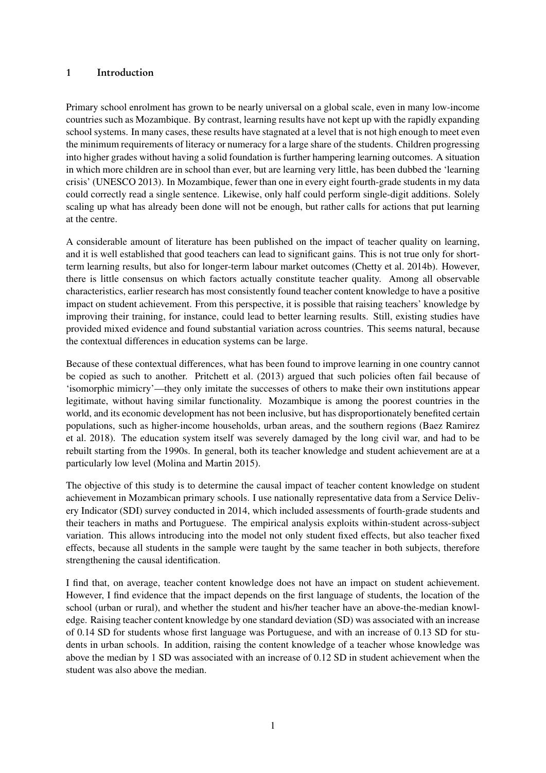### <span id="page-2-0"></span>1 Introduction

Primary school enrolment has grown to be nearly universal on a global scale, even in many low-income countries such as Mozambique. By contrast, learning results have not kept up with the rapidly expanding school systems. In many cases, these results have stagnated at a level that is not high enough to meet even the minimum requirements of literacy or numeracy for a large share of the students. Children progressing into higher grades without having a solid foundation is further hampering learning outcomes. A situation in which more children are in school than ever, but are learning very little, has been dubbed the 'learning crisis' [\(UNESCO](#page-22-0) [2013\)](#page-22-0). In Mozambique, fewer than one in every eight fourth-grade students in my data could correctly read a single sentence. Likewise, only half could perform single-digit additions. Solely scaling up what has already been done will not be enough, but rather calls for actions that put learning at the centre.

A considerable amount of literature has been published on the impact of teacher quality on learning, and it is well established that good teachers can lead to significant gains. This is not true only for shortterm learning results, but also for longer-term labour market outcomes [\(Chetty et al.](#page-21-0) [2014b\)](#page-21-0). However, there is little consensus on which factors actually constitute teacher quality. Among all observable characteristics, earlier research has most consistently found teacher content knowledge to have a positive impact on student achievement. From this perspective, it is possible that raising teachers' knowledge by improving their training, for instance, could lead to better learning results. Still, existing studies have provided mixed evidence and found substantial variation across countries. This seems natural, because the contextual differences in education systems can be large.

Because of these contextual differences, what has been found to improve learning in one country cannot be copied as such to another. [Pritchett et al.](#page-22-1) [\(2013\)](#page-22-1) argued that such policies often fail because of 'isomorphic mimicry'—they only imitate the successes of others to make their own institutions appear legitimate, without having similar functionality. Mozambique is among the poorest countries in the world, and its economic development has not been inclusive, but has disproportionately benefited certain populations, such as higher-income households, urban areas, and the southern regions [\(Baez Ramirez](#page-21-1) [et al.](#page-21-1) [2018\)](#page-21-1). The education system itself was severely damaged by the long civil war, and had to be rebuilt starting from the 1990s. In general, both its teacher knowledge and student achievement are at a particularly low level [\(Molina and Martin](#page-22-2) [2015\)](#page-22-2).

The objective of this study is to determine the causal impact of teacher content knowledge on student achievement in Mozambican primary schools. I use nationally representative data from a Service Delivery Indicator (SDI) survey conducted in 2014, which included assessments of fourth-grade students and their teachers in maths and Portuguese. The empirical analysis exploits within-student across-subject variation. This allows introducing into the model not only student fixed effects, but also teacher fixed effects, because all students in the sample were taught by the same teacher in both subjects, therefore strengthening the causal identification.

I find that, on average, teacher content knowledge does not have an impact on student achievement. However, I find evidence that the impact depends on the first language of students, the location of the school (urban or rural), and whether the student and his/her teacher have an above-the-median knowledge. Raising teacher content knowledge by one standard deviation (SD) was associated with an increase of 0.14 SD for students whose first language was Portuguese, and with an increase of 0.13 SD for students in urban schools. In addition, raising the content knowledge of a teacher whose knowledge was above the median by 1 SD was associated with an increase of 0.12 SD in student achievement when the student was also above the median.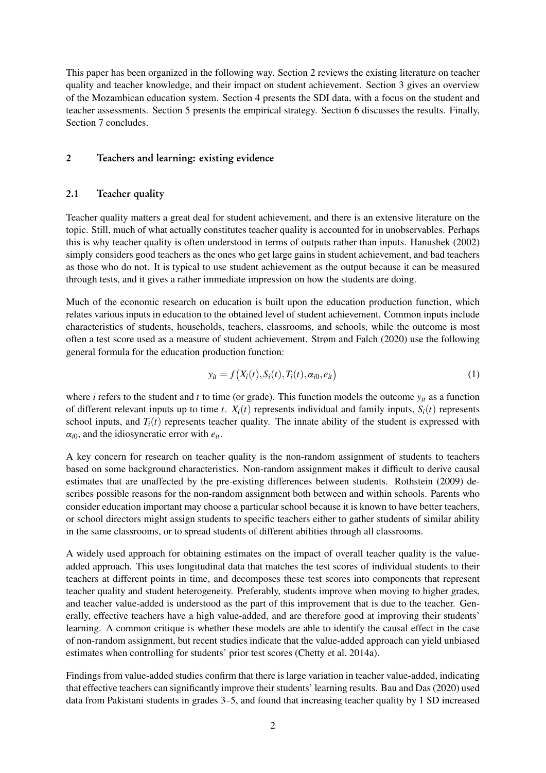This paper has been organized in the following way. Section [2](#page-3-0) reviews the existing literature on teacher quality and teacher knowledge, and their impact on student achievement. Section [3](#page-5-0) gives an overview of the Mozambican education system. Section [4](#page-8-0) presents the SDI data, with a focus on the student and teacher assessments. Section [5](#page-11-0) presents the empirical strategy. Section [6](#page-14-0) discusses the results. Finally, Section [7](#page-19-0) concludes.

## <span id="page-3-0"></span>2 Teachers and learning: existing evidence

#### 2.1 Teacher quality

Teacher quality matters a great deal for student achievement, and there is an extensive literature on the topic. Still, much of what actually constitutes teacher quality is accounted for in unobservables. Perhaps this is why teacher quality is often understood in terms of outputs rather than inputs. [Hanushek](#page-21-2) [\(2002\)](#page-21-2) simply considers good teachers as the ones who get large gains in student achievement, and bad teachers as those who do not. It is typical to use student achievement as the output because it can be measured through tests, and it gives a rather immediate impression on how the students are doing.

Much of the economic research on education is built upon the education production function, which relates various inputs in education to the obtained level of student achievement. Common inputs include characteristics of students, households, teachers, classrooms, and schools, while the outcome is most often a test score used as a measure of student achievement. [Strøm and Falch](#page-22-3) [\(2020\)](#page-22-3) use the following general formula for the education production function:

<span id="page-3-1"></span>
$$
y_{it} = f\big(X_i(t), S_i(t), T_i(t), \alpha_{i0}, e_{it}\big) \tag{1}
$$

where *i* refers to the student and *t* to time (or grade). This function models the outcome  $y_{it}$  as a function of different relevant inputs up to time *t*.  $X_i(t)$  represents individual and family inputs,  $S_i(t)$  represents school inputs, and  $T_i(t)$  represents teacher quality. The innate ability of the student is expressed with *αi*0, and the idiosyncratic error with *eit*.

A key concern for research on teacher quality is the non-random assignment of students to teachers based on some background characteristics. Non-random assignment makes it difficult to derive causal estimates that are unaffected by the pre-existing differences between students. [Rothstein](#page-22-4) [\(2009\)](#page-22-4) describes possible reasons for the non-random assignment both between and within schools. Parents who consider education important may choose a particular school because it is known to have better teachers, or school directors might assign students to specific teachers either to gather students of similar ability in the same classrooms, or to spread students of different abilities through all classrooms.

A widely used approach for obtaining estimates on the impact of overall teacher quality is the valueadded approach. This uses longitudinal data that matches the test scores of individual students to their teachers at different points in time, and decomposes these test scores into components that represent teacher quality and student heterogeneity. Preferably, students improve when moving to higher grades, and teacher value-added is understood as the part of this improvement that is due to the teacher. Generally, effective teachers have a high value-added, and are therefore good at improving their students' learning. A common critique is whether these models are able to identify the causal effect in the case of non-random assignment, but recent studies indicate that the value-added approach can yield unbiased estimates when controlling for students' prior test scores [\(Chetty et al.](#page-21-3) [2014a\)](#page-21-3).

Findings from value-added studies confirm that there is large variation in teacher value-added, indicating that effective teachers can significantly improve their students' learning results. [Bau and Das](#page-21-4) [\(2020\)](#page-21-4) used data from Pakistani students in grades 3–5, and found that increasing teacher quality by 1 SD increased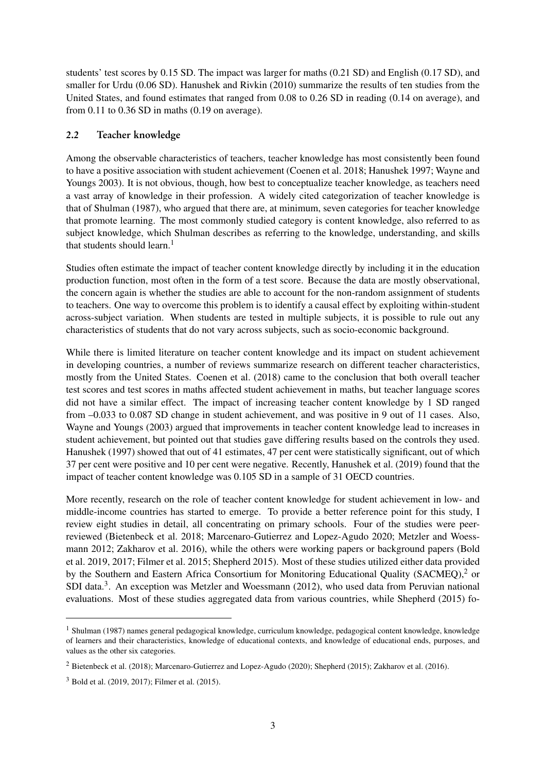students' test scores by 0.15 SD. The impact was larger for maths (0.21 SD) and English (0.17 SD), and smaller for Urdu (0.06 SD). [Hanushek and Rivkin](#page-21-5) [\(2010\)](#page-21-5) summarize the results of ten studies from the United States, and found estimates that ranged from 0.08 to 0.26 SD in reading (0.14 on average), and from  $0.11$  to  $0.36$  SD in maths  $(0.19)$  on average).

## 2.2 Teacher knowledge

Among the observable characteristics of teachers, teacher knowledge has most consistently been found to have a positive association with student achievement [\(Coenen et al.](#page-21-6) [2018;](#page-21-6) [Hanushek](#page-21-7) [1997;](#page-21-7) [Wayne and](#page-22-5) [Youngs](#page-22-5) [2003\)](#page-22-5). It is not obvious, though, how best to conceptualize teacher knowledge, as teachers need a vast array of knowledge in their profession. A widely cited categorization of teacher knowledge is that of [Shulman](#page-22-6) [\(1987\)](#page-22-6), who argued that there are, at minimum, seven categories for teacher knowledge that promote learning. The most commonly studied category is content knowledge, also referred to as subject knowledge, which Shulman describes as referring to the knowledge, understanding, and skills that students should learn.<sup>[1](#page-2-0)</sup>

Studies often estimate the impact of teacher content knowledge directly by including it in the education production function, most often in the form of a test score. Because the data are mostly observational, the concern again is whether the studies are able to account for the non-random assignment of students to teachers. One way to overcome this problem is to identify a causal effect by exploiting within-student across-subject variation. When students are tested in multiple subjects, it is possible to rule out any characteristics of students that do not vary across subjects, such as socio-economic background.

While there is limited literature on teacher content knowledge and its impact on student achievement in developing countries, a number of reviews summarize research on different teacher characteristics, mostly from the United States. [Coenen et al.](#page-21-6) [\(2018\)](#page-21-6) came to the conclusion that both overall teacher test scores and test scores in maths affected student achievement in maths, but teacher language scores did not have a similar effect. The impact of increasing teacher content knowledge by 1 SD ranged from –0.033 to 0.087 SD change in student achievement, and was positive in 9 out of 11 cases. Also, [Wayne and Youngs](#page-22-5) [\(2003\)](#page-22-5) argued that improvements in teacher content knowledge lead to increases in student achievement, but pointed out that studies gave differing results based on the controls they used. [Hanushek](#page-21-7) [\(1997\)](#page-21-7) showed that out of 41 estimates, 47 per cent were statistically significant, out of which 37 per cent were positive and 10 per cent were negative. Recently, [Hanushek et al.](#page-21-8) [\(2019\)](#page-21-8) found that the impact of teacher content knowledge was 0.105 SD in a sample of 31 OECD countries.

More recently, research on the role of teacher content knowledge for student achievement in low- and middle-income countries has started to emerge. To provide a better reference point for this study, I review eight studies in detail, all concentrating on primary schools. Four of the studies were peerreviewed [\(Bietenbeck et al.](#page-21-9) [2018;](#page-21-9) [Marcenaro-Gutierrez and Lopez-Agudo](#page-22-7) [2020;](#page-22-7) [Metzler and Woess](#page-22-8)[mann](#page-22-8) [2012;](#page-22-8) [Zakharov et al.](#page-23-0) [2016\)](#page-23-0), while the others were working papers or background papers [\(Bold](#page-21-10) [et al.](#page-21-10) [2019,](#page-21-10) [2017;](#page-21-11) [Filmer et al.](#page-21-12) [2015;](#page-21-12) [Shepherd](#page-22-9) [2015\)](#page-22-9). Most of these studies utilized either data provided by the Southern and Eastern Africa Consortium for Monitoring Educational Quality (SACMEQ),<sup>[2](#page-2-0)</sup> or SDI data.<sup>[3](#page-2-0)</sup>. An exception was [Metzler and Woessmann](#page-22-8) [\(2012\)](#page-22-8), who used data from Peruvian national evaluations. Most of these studies aggregated data from various countries, while [Shepherd](#page-22-9) [\(2015\)](#page-22-9) fo-

<sup>&</sup>lt;sup>1</sup> [Shulman](#page-22-6) [\(1987\)](#page-22-6) names general pedagogical knowledge, curriculum knowledge, pedagogical content knowledge, knowledge of learners and their characteristics, knowledge of educational contexts, and knowledge of educational ends, purposes, and values as the other six categories.

<sup>2</sup> [Bietenbeck et al.](#page-21-9) [\(2018\)](#page-21-9); [Marcenaro-Gutierrez and Lopez-Agudo](#page-22-7) [\(2020\)](#page-22-7); [Shepherd](#page-22-9) [\(2015\)](#page-22-9); [Zakharov et al.](#page-23-0) [\(2016\)](#page-23-0).

<sup>3</sup> [Bold et al.](#page-21-10) [\(2019,](#page-21-10) [2017\)](#page-21-11); [Filmer et al.](#page-21-12) [\(2015\)](#page-21-12).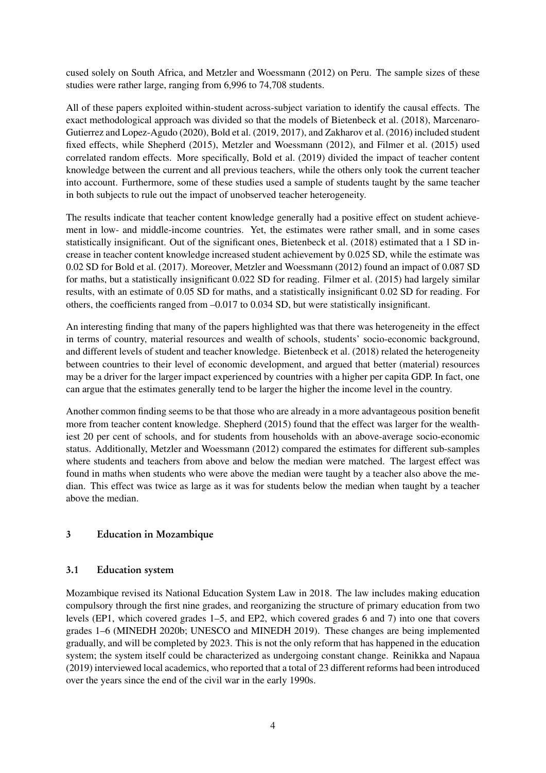cused solely on South Africa, and [Metzler and Woessmann](#page-22-8) [\(2012\)](#page-22-8) on Peru. The sample sizes of these studies were rather large, ranging from 6,996 to 74,708 students.

All of these papers exploited within-student across-subject variation to identify the causal effects. The exact methodological approach was divided so that the models of [Bietenbeck et al.](#page-21-9) [\(2018\)](#page-21-9), [Marcenaro-](#page-22-7)[Gutierrez and Lopez-Agudo](#page-22-7) [\(2020\)](#page-22-7), [Bold et al.](#page-21-10) [\(2019,](#page-21-10) [2017\)](#page-21-11), and [Zakharov et al.](#page-23-0) [\(2016\)](#page-23-0) included student fixed effects, while [Shepherd](#page-22-9) [\(2015\)](#page-22-9), [Metzler and Woessmann](#page-22-8) [\(2012\)](#page-22-8), and [Filmer et al.](#page-21-12) [\(2015\)](#page-21-12) used correlated random effects. More specifically, [Bold et al.](#page-21-10) [\(2019\)](#page-21-10) divided the impact of teacher content knowledge between the current and all previous teachers, while the others only took the current teacher into account. Furthermore, some of these studies used a sample of students taught by the same teacher in both subjects to rule out the impact of unobserved teacher heterogeneity.

The results indicate that teacher content knowledge generally had a positive effect on student achievement in low- and middle-income countries. Yet, the estimates were rather small, and in some cases statistically insignificant. Out of the significant ones, [Bietenbeck et al.](#page-21-9) [\(2018\)](#page-21-9) estimated that a 1 SD increase in teacher content knowledge increased student achievement by 0.025 SD, while the estimate was 0.02 SD for [Bold et al.](#page-21-11) [\(2017\)](#page-21-11). Moreover, [Metzler and Woessmann](#page-22-8) [\(2012\)](#page-22-8) found an impact of 0.087 SD for maths, but a statistically insignificant 0.022 SD for reading. [Filmer et al.](#page-21-12) [\(2015\)](#page-21-12) had largely similar results, with an estimate of 0.05 SD for maths, and a statistically insignificant 0.02 SD for reading. For others, the coefficients ranged from –0.017 to 0.034 SD, but were statistically insignificant.

An interesting finding that many of the papers highlighted was that there was heterogeneity in the effect in terms of country, material resources and wealth of schools, students' socio-economic background, and different levels of student and teacher knowledge. [Bietenbeck et al.](#page-21-9) [\(2018\)](#page-21-9) related the heterogeneity between countries to their level of economic development, and argued that better (material) resources may be a driver for the larger impact experienced by countries with a higher per capita GDP. In fact, one can argue that the estimates generally tend to be larger the higher the income level in the country.

Another common finding seems to be that those who are already in a more advantageous position benefit more from teacher content knowledge. [Shepherd](#page-22-9) [\(2015\)](#page-22-9) found that the effect was larger for the wealthiest 20 per cent of schools, and for students from households with an above-average socio-economic status. Additionally, [Metzler and Woessmann](#page-22-8) [\(2012\)](#page-22-8) compared the estimates for different sub-samples where students and teachers from above and below the median were matched. The largest effect was found in maths when students who were above the median were taught by a teacher also above the median. This effect was twice as large as it was for students below the median when taught by a teacher above the median.

## <span id="page-5-0"></span>3 Education in Mozambique

## 3.1 Education system

Mozambique revised its National Education System Law in 2018. The law includes making education compulsory through the first nine grades, and reorganizing the structure of primary education from two levels (EP1, which covered grades 1–5, and EP2, which covered grades 6 and 7) into one that covers grades 1–6 [\(MINEDH](#page-22-10) [2020b;](#page-22-10) [UNESCO and MINEDH](#page-22-11) [2019\)](#page-22-11). These changes are being implemented gradually, and will be completed by 2023. This is not the only reform that has happened in the education system; the system itself could be characterized as undergoing constant change. [Reinikka and Napaua](#page-22-12) [\(2019\)](#page-22-12) interviewed local academics, who reported that a total of 23 different reforms had been introduced over the years since the end of the civil war in the early 1990s.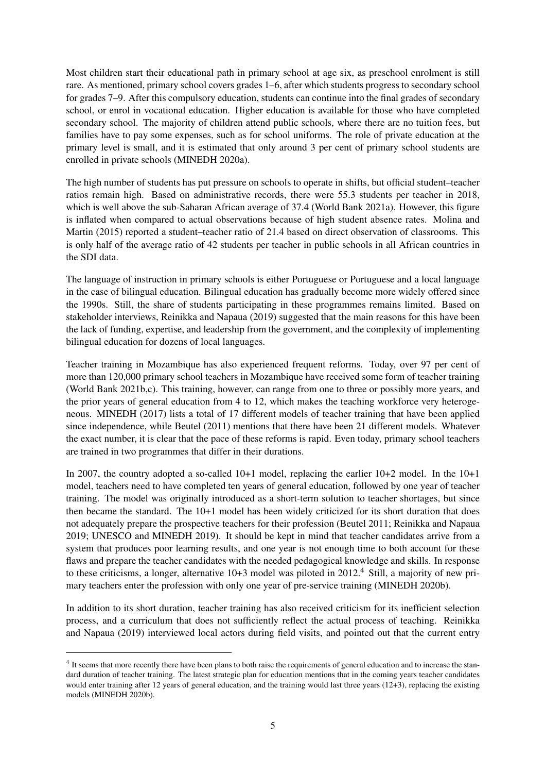Most children start their educational path in primary school at age six, as preschool enrolment is still rare. As mentioned, primary school covers grades 1–6, after which students progress to secondary school for grades 7–9. After this compulsory education, students can continue into the final grades of secondary school, or enrol in vocational education. Higher education is available for those who have completed secondary school. The majority of children attend public schools, where there are no tuition fees, but families have to pay some expenses, such as for school uniforms. The role of private education at the primary level is small, and it is estimated that only around 3 per cent of primary school students are enrolled in private schools [\(MINEDH](#page-22-13) [2020a\)](#page-22-13).

The high number of students has put pressure on schools to operate in shifts, but official student–teacher ratios remain high. Based on administrative records, there were 55.3 students per teacher in 2018, which is well above the sub-Saharan African average of 37.4 [\(World Bank](#page-22-14) [2021a\)](#page-22-14). However, this figure is inflated when compared to actual observations because of high student absence rates. [Molina and](#page-22-2) [Martin](#page-22-2) [\(2015\)](#page-22-2) reported a student–teacher ratio of 21.4 based on direct observation of classrooms. This is only half of the average ratio of 42 students per teacher in public schools in all African countries in the SDI data.

The language of instruction in primary schools is either Portuguese or Portuguese and a local language in the case of bilingual education. Bilingual education has gradually become more widely offered since the 1990s. Still, the share of students participating in these programmes remains limited. Based on stakeholder interviews, [Reinikka and Napaua](#page-22-12) [\(2019\)](#page-22-12) suggested that the main reasons for this have been the lack of funding, expertise, and leadership from the government, and the complexity of implementing bilingual education for dozens of local languages.

Teacher training in Mozambique has also experienced frequent reforms. Today, over 97 per cent of more than 120,000 primary school teachers in Mozambique have received some form of teacher training [\(World Bank](#page-22-15) [2021b](#page-22-15)[,c\)](#page-22-16). This training, however, can range from one to three or possibly more years, and the prior years of general education from 4 to 12, which makes the teaching workforce very heterogeneous. [MINEDH](#page-22-17) [\(2017\)](#page-22-17) lists a total of 17 different models of teacher training that have been applied since independence, while [Beutel](#page-21-13) [\(2011\)](#page-21-13) mentions that there have been 21 different models. Whatever the exact number, it is clear that the pace of these reforms is rapid. Even today, primary school teachers are trained in two programmes that differ in their durations.

In 2007, the country adopted a so-called 10+1 model, replacing the earlier 10+2 model. In the 10+1 model, teachers need to have completed ten years of general education, followed by one year of teacher training. The model was originally introduced as a short-term solution to teacher shortages, but since then became the standard. The 10+1 model has been widely criticized for its short duration that does not adequately prepare the prospective teachers for their profession [\(Beutel](#page-21-13) [2011;](#page-21-13) [Reinikka and Napaua](#page-22-12) [2019;](#page-22-12) [UNESCO and MINEDH](#page-22-11) [2019\)](#page-22-11). It should be kept in mind that teacher candidates arrive from a system that produces poor learning results, and one year is not enough time to both account for these flaws and prepare the teacher candidates with the needed pedagogical knowledge and skills. In response to these criticisms, a longer, alternative 10+3 model was piloted in 2012.<sup>[4](#page-2-0)</sup> Still, a majority of new primary teachers enter the profession with only one year of pre-service training [\(MINEDH](#page-22-10) [2020b\)](#page-22-10).

In addition to its short duration, teacher training has also received criticism for its inefficient selection process, and a curriculum that does not sufficiently reflect the actual process of teaching. [Reinikka](#page-22-12) [and Napaua](#page-22-12) [\(2019\)](#page-22-12) interviewed local actors during field visits, and pointed out that the current entry

<sup>&</sup>lt;sup>4</sup> It seems that more recently there have been plans to both raise the requirements of general education and to increase the standard duration of teacher training. The latest strategic plan for education mentions that in the coming years teacher candidates would enter training after 12 years of general education, and the training would last three years (12+3), replacing the existing models [\(MINEDH](#page-22-10) [2020b\)](#page-22-10).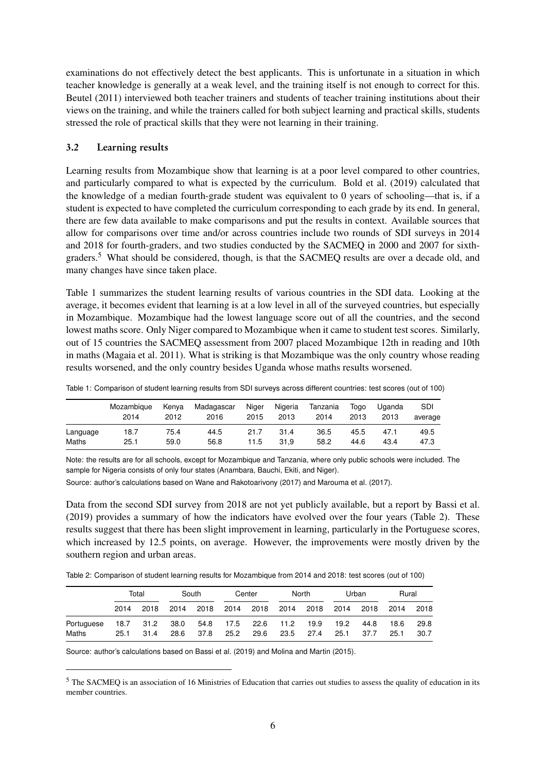examinations do not effectively detect the best applicants. This is unfortunate in a situation in which teacher knowledge is generally at a weak level, and the training itself is not enough to correct for this. [Beutel](#page-21-13) [\(2011\)](#page-21-13) interviewed both teacher trainers and students of teacher training institutions about their views on the training, and while the trainers called for both subject learning and practical skills, students stressed the role of practical skills that they were not learning in their training.

## 3.2 Learning results

Learning results from Mozambique show that learning is at a poor level compared to other countries, and particularly compared to what is expected by the curriculum. [Bold et al.](#page-21-10) [\(2019\)](#page-21-10) calculated that the knowledge of a median fourth-grade student was equivalent to 0 years of schooling—that is, if a student is expected to have completed the curriculum corresponding to each grade by its end. In general, there are few data available to make comparisons and put the results in context. Available sources that allow for comparisons over time and/or across countries include two rounds of SDI surveys in 2014 and 2018 for fourth-graders, and two studies conducted by the SACMEQ in 2000 and 2007 for sixthgraders.[5](#page-2-0) What should be considered, though, is that the SACMEQ results are over a decade old, and many changes have since taken place.

Table [1](#page-7-0) summarizes the student learning results of various countries in the SDI data. Looking at the average, it becomes evident that learning is at a low level in all of the surveyed countries, but especially in Mozambique. Mozambique had the lowest language score out of all the countries, and the second lowest maths score. Only Niger compared to Mozambique when it came to student test scores. Similarly, out of 15 countries the SACMEQ assessment from 2007 placed Mozambique 12th in reading and 10th in maths [\(Magaia et al.](#page-22-18) [2011\)](#page-22-18). What is striking is that Mozambique was the only country whose reading results worsened, and the only country besides Uganda whose maths results worsened.

|          | Mozambique<br>2014 | Kenva<br>2012 | Madagascar<br>2016 | Niger<br>2015 | Nigeria<br>2013 | Tanzania<br>2014 | Toao<br>2013 | Uganda<br>2013 | <b>SDI</b><br>average |
|----------|--------------------|---------------|--------------------|---------------|-----------------|------------------|--------------|----------------|-----------------------|
| Language | 18.7               | 75.4          | 44.5               | 21.7          | 31.4            | 36.5             | 45.5         | 47.1           | 49.5                  |
| Maths    | 25.1               | 59.0          | 56.8               | 11.5          | 31.9            | 58.2             | 44.6         | 43.4           | 47.3                  |

<span id="page-7-0"></span>Table 1: Comparison of student learning results from SDI surveys across different countries: test scores (out of 100)

Note: the results are for all schools, except for Mozambique and Tanzania, where only public schools were included. The sample for Nigeria consists of only four states (Anambara, Bauchi, Ekiti, and Niger).

Source: author's calculations based on [Wane and Rakotoarivony](#page-22-19) [\(2017\)](#page-22-19) and [Marouma et al.](#page-22-20) [\(2017\)](#page-22-20).

Data from the second SDI survey from 2018 are not yet publicly available, but a report by [Bassi et al.](#page-21-14) [\(2019\)](#page-21-14) provides a summary of how the indicators have evolved over the four years (Table [2\)](#page-7-1). These results suggest that there has been slight improvement in learning, particularly in the Portuguese scores, which increased by 12.5 points, on average. However, the improvements were mostly driven by the southern region and urban areas.

<span id="page-7-1"></span>Table 2: Comparison of student learning results for Mozambique from 2014 and 2018: test scores (out of 100)

|            | Total |           | South | Center |                     | North          |      | Urban     |      | Rural |      |      |
|------------|-------|-----------|-------|--------|---------------------|----------------|------|-----------|------|-------|------|------|
|            | 2014  | 2018      | 2014  | 2018   |                     | 2014 2018 2014 |      | 2018 2014 |      | 2018  | 2014 | 2018 |
| Portuguese |       | 18.7 31.2 | 38.0  |        | 54.8 17.5 22.6 11.2 |                |      | 19.9      | 19.2 | 44.8  | 18.6 | 29.8 |
| Maths      | 25.1  | 31.4      | 28.6  | 37.8   | 25.2                | 29.6           | 23.5 | 27.4      | 25.1 | 37.7  | 25.1 | 30.7 |

Source: author's calculations based on [Bassi et al.](#page-21-14) [\(2019\)](#page-21-14) and [Molina and Martin](#page-22-2) [\(2015\)](#page-22-2).

<sup>&</sup>lt;sup>5</sup> The SACMEQ is an association of 16 Ministries of Education that carries out studies to assess the quality of education in its member countries.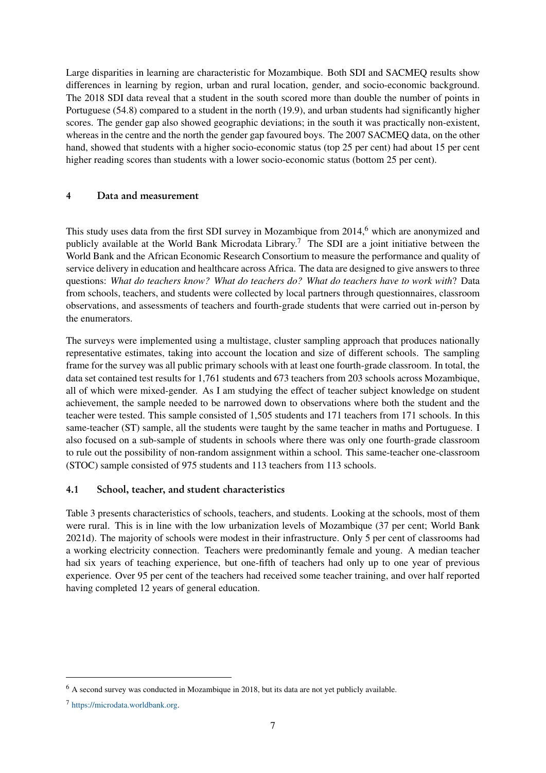Large disparities in learning are characteristic for Mozambique. Both SDI and SACMEQ results show differences in learning by region, urban and rural location, gender, and socio-economic background. The 2018 SDI data reveal that a student in the south scored more than double the number of points in Portuguese (54.8) compared to a student in the north (19.9), and urban students had significantly higher scores. The gender gap also showed geographic deviations; in the south it was practically non-existent, whereas in the centre and the north the gender gap favoured boys. The 2007 SACMEQ data, on the other hand, showed that students with a higher socio-economic status (top 25 per cent) had about 15 per cent higher reading scores than students with a lower socio-economic status (bottom 25 per cent).

## <span id="page-8-0"></span>4 Data and measurement

This study uses data from the first SDI survey in Mozambique from 2014,<sup>[6](#page-2-0)</sup> which are anonymized and publicly available at the World Bank Microdata Library.<sup>[7](#page-2-0)</sup> The SDI are a joint initiative between the World Bank and the African Economic Research Consortium to measure the performance and quality of service delivery in education and healthcare across Africa. The data are designed to give answers to three questions: *What do teachers know? What do teachers do? What do teachers have to work with*? Data from schools, teachers, and students were collected by local partners through questionnaires, classroom observations, and assessments of teachers and fourth-grade students that were carried out in-person by the enumerators.

The surveys were implemented using a multistage, cluster sampling approach that produces nationally representative estimates, taking into account the location and size of different schools. The sampling frame for the survey was all public primary schools with at least one fourth-grade classroom. In total, the data set contained test results for 1,761 students and 673 teachers from 203 schools across Mozambique, all of which were mixed-gender. As I am studying the effect of teacher subject knowledge on student achievement, the sample needed to be narrowed down to observations where both the student and the teacher were tested. This sample consisted of 1,505 students and 171 teachers from 171 schools. In this same-teacher (ST) sample, all the students were taught by the same teacher in maths and Portuguese. I also focused on a sub-sample of students in schools where there was only one fourth-grade classroom to rule out the possibility of non-random assignment within a school. This same-teacher one-classroom (STOC) sample consisted of 975 students and 113 teachers from 113 schools.

## 4.1 School, teacher, and student characteristics

Table [3](#page-9-0) presents characteristics of schools, teachers, and students. Looking at the schools, most of them were rural. This is in line with the low urbanization levels of Mozambique (37 per cent; [World Bank](#page-23-1) [2021d\)](#page-23-1). The majority of schools were modest in their infrastructure. Only 5 per cent of classrooms had a working electricity connection. Teachers were predominantly female and young. A median teacher had six years of teaching experience, but one-fifth of teachers had only up to one year of previous experience. Over 95 per cent of the teachers had received some teacher training, and over half reported having completed 12 years of general education.

<sup>6</sup> A second survey was conducted in Mozambique in 2018, but its data are not yet publicly available.

<sup>7</sup> [https://microdata.worldbank.org.](https://microdata.worldbank.org)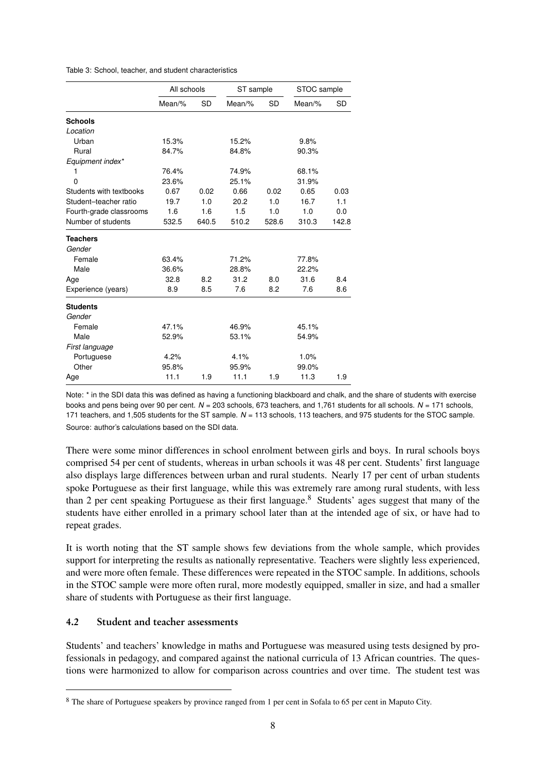<span id="page-9-0"></span>

|  | Table 3: School, teacher, and student characteristics |
|--|-------------------------------------------------------|
|--|-------------------------------------------------------|

|                         | All schools |       | ST sample |           | STOC sample |           |
|-------------------------|-------------|-------|-----------|-----------|-------------|-----------|
|                         | Mean/ $%$   | SD    | Mean/ $%$ | <b>SD</b> | Mean/%      | <b>SD</b> |
| <b>Schools</b>          |             |       |           |           |             |           |
| Location                |             |       |           |           |             |           |
| Urban                   | 15.3%       |       | 15.2%     |           | 9.8%        |           |
| Rural                   | 84.7%       |       | 84.8%     |           | 90.3%       |           |
| Equipment index*        |             |       |           |           |             |           |
| 1                       | 76.4%       |       | 74.9%     |           | 68.1%       |           |
| $\Omega$                | 23.6%       |       | 25.1%     |           | 31.9%       |           |
| Students with textbooks | 0.67        | 0.02  | 0.66      | 0.02      | 0.65        | 0.03      |
| Student-teacher ratio   | 19.7        | 1.0   | 20.2      | 1.0       | 16.7        | 1.1       |
| Fourth-grade classrooms | 1.6         | 1.6   | 1.5       | 1.0       | 1.0         | 0.0       |
| Number of students      | 532.5       | 640.5 | 510.2     | 528.6     | 310.3       | 142.8     |
| <b>Teachers</b>         |             |       |           |           |             |           |
| Gender                  |             |       |           |           |             |           |
| Female                  | 63.4%       |       | 71.2%     |           | 77.8%       |           |
| Male                    | 36.6%       |       | 28.8%     |           | 22.2%       |           |
| Age                     | 32.8        | 8.2   | 31.2      | 8.0       | 31.6        | 8.4       |
| Experience (years)      | 8.9         | 8.5   | 7.6       | 8.2       | 7.6         | 8.6       |
| <b>Students</b>         |             |       |           |           |             |           |
| Gender                  |             |       |           |           |             |           |
| Female                  | 47.1%       |       | 46.9%     |           | 45.1%       |           |
| Male                    | 52.9%       |       | 53.1%     |           | 54.9%       |           |
| First language          |             |       |           |           |             |           |
| Portuguese              | 4.2%        |       | 4.1%      |           | 1.0%        |           |
| Other                   | 95.8%       |       | 95.9%     |           | 99.0%       |           |
| Age                     | 11.1        | 1.9   | 11.1      | 1.9       | 11.3        | 1.9       |

Note: \* in the SDI data this was defined as having a functioning blackboard and chalk, and the share of students with exercise books and pens being over 90 per cent. *N* = 203 schools, 673 teachers, and 1,761 students for all schools. *N* = 171 schools, 171 teachers, and 1,505 students for the ST sample. *N* = 113 schools, 113 teachers, and 975 students for the STOC sample. Source: author's calculations based on the SDI data.

There were some minor differences in school enrolment between girls and boys. In rural schools boys comprised 54 per cent of students, whereas in urban schools it was 48 per cent. Students' first language also displays large differences between urban and rural students. Nearly 17 per cent of urban students spoke Portuguese as their first language, while this was extremely rare among rural students, with less than 2 per cent speaking Portuguese as their first language.[8](#page-2-0) Students' ages suggest that many of the students have either enrolled in a primary school later than at the intended age of six, or have had to repeat grades.

It is worth noting that the ST sample shows few deviations from the whole sample, which provides support for interpreting the results as nationally representative. Teachers were slightly less experienced, and were more often female. These differences were repeated in the STOC sample. In additions, schools in the STOC sample were more often rural, more modestly equipped, smaller in size, and had a smaller share of students with Portuguese as their first language.

## 4.2 Student and teacher assessments

Students' and teachers' knowledge in maths and Portuguese was measured using tests designed by professionals in pedagogy, and compared against the national curricula of 13 African countries. The questions were harmonized to allow for comparison across countries and over time. The student test was

<sup>8</sup> The share of Portuguese speakers by province ranged from 1 per cent in Sofala to 65 per cent in Maputo City.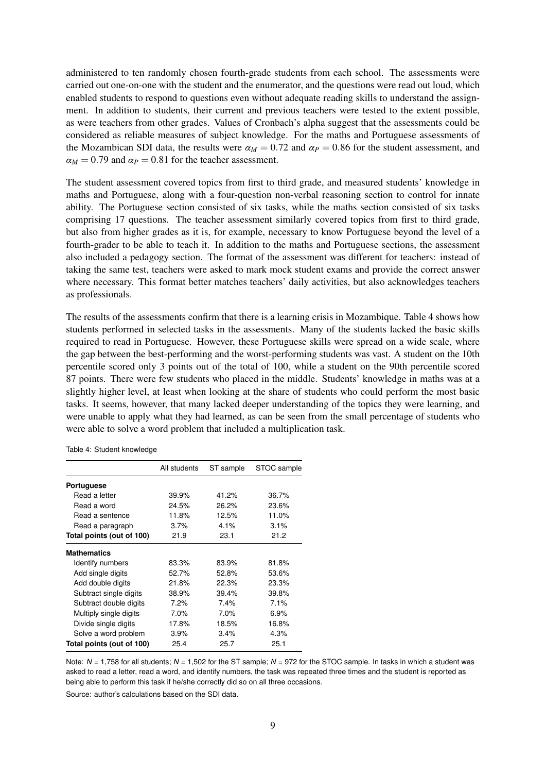administered to ten randomly chosen fourth-grade students from each school. The assessments were carried out one-on-one with the student and the enumerator, and the questions were read out loud, which enabled students to respond to questions even without adequate reading skills to understand the assignment. In addition to students, their current and previous teachers were tested to the extent possible, as were teachers from other grades. Values of Cronbach's alpha suggest that the assessments could be considered as reliable measures of subject knowledge. For the maths and Portuguese assessments of the Mozambican SDI data, the results were  $\alpha_M = 0.72$  and  $\alpha_P = 0.86$  for the student assessment, and  $\alpha_M = 0.79$  and  $\alpha_P = 0.81$  for the teacher assessment.

The student assessment covered topics from first to third grade, and measured students' knowledge in maths and Portuguese, along with a four-question non-verbal reasoning section to control for innate ability. The Portuguese section consisted of six tasks, while the maths section consisted of six tasks comprising 17 questions. The teacher assessment similarly covered topics from first to third grade, but also from higher grades as it is, for example, necessary to know Portuguese beyond the level of a fourth-grader to be able to teach it. In addition to the maths and Portuguese sections, the assessment also included a pedagogy section. The format of the assessment was different for teachers: instead of taking the same test, teachers were asked to mark mock student exams and provide the correct answer where necessary. This format better matches teachers' daily activities, but also acknowledges teachers as professionals.

The results of the assessments confirm that there is a learning crisis in Mozambique. Table [4](#page-10-0) shows how students performed in selected tasks in the assessments. Many of the students lacked the basic skills required to read in Portuguese. However, these Portuguese skills were spread on a wide scale, where the gap between the best-performing and the worst-performing students was vast. A student on the 10th percentile scored only 3 points out of the total of 100, while a student on the 90th percentile scored 87 points. There were few students who placed in the middle. Students' knowledge in maths was at a slightly higher level, at least when looking at the share of students who could perform the most basic tasks. It seems, however, that many lacked deeper understanding of the topics they were learning, and were unable to apply what they had learned, as can be seen from the small percentage of students who were able to solve a word problem that included a multiplication task.

|                           | All students | ST sample | STOC sample |
|---------------------------|--------------|-----------|-------------|
| Portuguese                |              |           |             |
| Read a letter             | 39.9%        | 41.2%     | 36.7%       |
| Read a word               | 24.5%        | 26.2%     | 23.6%       |
| Read a sentence           | 11.8%        | 12.5%     | 11.0%       |
| Read a paragraph          | 3.7%         | 4.1%      | 3.1%        |
| Total points (out of 100) | 21.9         | 23.1      | 21.2        |
| <b>Mathematics</b>        |              |           |             |
| Identify numbers          | 83.3%        | 83.9%     | 81.8%       |
| Add single digits         | 52.7%        | 52.8%     | 53.6%       |
| Add double digits         | 21.8%        | 22.3%     | 23.3%       |
| Subtract single digits    | 38.9%        | 39.4%     | 39.8%       |
| Subtract double digits    | 7.2%         | 7.4%      | 7.1%        |
| Multiply single digits    | $7.0\%$      | $7.0\%$   | 6.9%        |
| Divide single digits      | 17.8%        | 18.5%     | 16.8%       |
| Solve a word problem      | 3.9%         | 3.4%      | 4.3%        |
| Total points (out of 100) | 25.4         | 25.7      | 25.1        |

<span id="page-10-0"></span>Table 4: Student knowledge

Note: *N* = 1,758 for all students; *N* = 1,502 for the ST sample; *N* = 972 for the STOC sample. In tasks in which a student was asked to read a letter, read a word, and identify numbers, the task was repeated three times and the student is reported as being able to perform this task if he/she correctly did so on all three occasions.

Source: author's calculations based on the SDI data.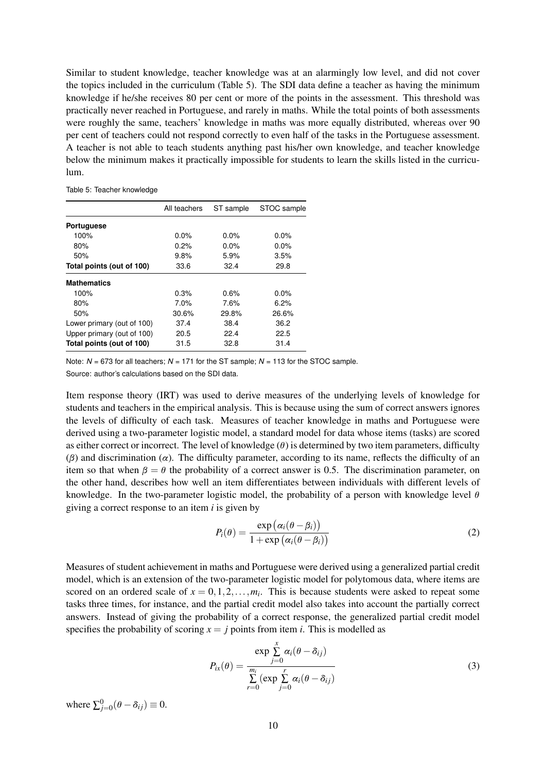Similar to student knowledge, teacher knowledge was at an alarmingly low level, and did not cover the topics included in the curriculum (Table [5\)](#page-11-1). The SDI data define a teacher as having the minimum knowledge if he/she receives 80 per cent or more of the points in the assessment. This threshold was practically never reached in Portuguese, and rarely in maths. While the total points of both assessments were roughly the same, teachers' knowledge in maths was more equally distributed, whereas over 90 per cent of teachers could not respond correctly to even half of the tasks in the Portuguese assessment. A teacher is not able to teach students anything past his/her own knowledge, and teacher knowledge below the minimum makes it practically impossible for students to learn the skills listed in the curriculum.

<span id="page-11-1"></span>Table 5: Teacher knowledge

|                            | All teachers | ST sample | STOC sample |
|----------------------------|--------------|-----------|-------------|
| Portuguese                 |              |           |             |
| 100%                       | $0.0\%$      | $0.0\%$   | $0.0\%$     |
| 80%                        | 0.2%         | $0.0\%$   | $0.0\%$     |
| 50%                        | 9.8%         | 5.9%      | 3.5%        |
| Total points (out of 100)  | 33.6         | 32.4      | 29.8        |
| <b>Mathematics</b>         |              |           |             |
| 100%                       | 0.3%         | 0.6%      | 0.0%        |
| 80%                        | 7.0%         | 7.6%      | 6.2%        |
| 50%                        | 30.6%        | 29.8%     | 26.6%       |
| Lower primary (out of 100) | 37.4         | 38.4      | 36.2        |
| Upper primary (out of 100) | 20.5         | 22.4      | 22.5        |
| Total points (out of 100)  | 31.5         | 32.8      | 31.4        |

Note:  $N = 673$  for all teachers;  $N = 171$  for the ST sample;  $N = 113$  for the STOC sample. Source: author's calculations based on the SDI data.

Item response theory (IRT) was used to derive measures of the underlying levels of knowledge for students and teachers in the empirical analysis. This is because using the sum of correct answers ignores the levels of difficulty of each task. Measures of teacher knowledge in maths and Portuguese were derived using a two-parameter logistic model, a standard model for data whose items (tasks) are scored as either correct or incorrect. The level of knowledge (*θ*) is determined by two item parameters, difficulty (*β*) and discrimination ( $\alpha$ ). The difficulty parameter, according to its name, reflects the difficulty of an item so that when  $\beta = \theta$  the probability of a correct answer is 0.5. The discrimination parameter, on the other hand, describes how well an item differentiates between individuals with different levels of knowledge. In the two-parameter logistic model, the probability of a person with knowledge level *θ* giving a correct response to an item *i* is given by

$$
P_i(\theta) = \frac{\exp(\alpha_i(\theta - \beta_i))}{1 + \exp(\alpha_i(\theta - \beta_i))}
$$
\n(2)

Measures of student achievement in maths and Portuguese were derived using a generalized partial credit model, which is an extension of the two-parameter logistic model for polytomous data, where items are scored on an ordered scale of  $x = 0, 1, 2, \ldots, m_i$ . This is because students were asked to repeat some tasks three times, for instance, and the partial credit model also takes into account the partially correct answers. Instead of giving the probability of a correct response, the generalized partial credit model specifies the probability of scoring  $x = j$  points from item *i*. This is modelled as

$$
P_{ix}(\theta) = \frac{\exp \sum_{j=0}^{x} \alpha_i (\theta - \delta_{ij})}{\sum_{r=0}^{m_i} (\exp \sum_{j=0}^{r} \alpha_i (\theta - \delta_{ij})}
$$
(3)

<span id="page-11-0"></span>where  $\sum_{j=0}^{0} (\theta - \delta_{ij}) \equiv 0$ .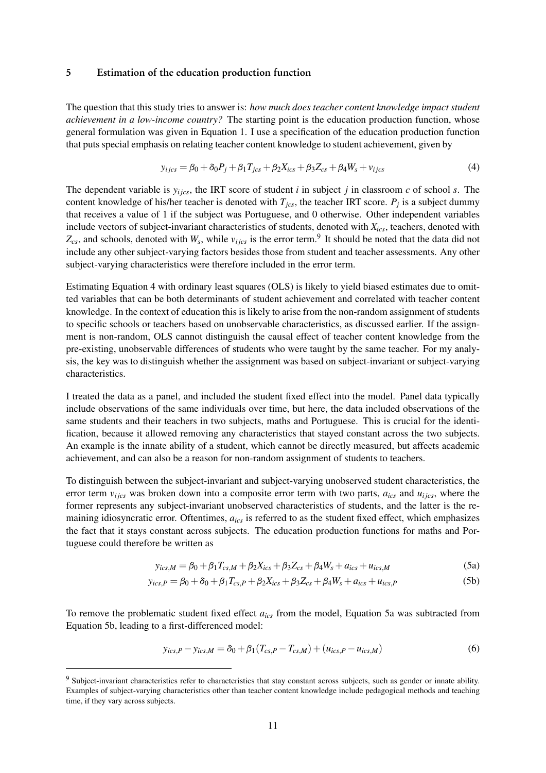#### 5 Estimation of the education production function

The question that this study tries to answer is: *how much does teacher content knowledge impact student achievement in a low-income country?* The starting point is the education production function, whose general formulation was given in Equation [1.](#page-3-1) I use a specification of the education production function that puts special emphasis on relating teacher content knowledge to student achievement, given by

<span id="page-12-0"></span>
$$
y_{ijcs} = \beta_0 + \delta_0 P_j + \beta_1 T_{jcs} + \beta_2 X_{ics} + \beta_3 Z_{cs} + \beta_4 W_s + v_{ijcs}
$$
(4)

The dependent variable is  $y_{ijcs}$ , the IRT score of student *i* in subject *j* in classroom *c* of school *s*. The content knowledge of his/her teacher is denoted with *Tjcs*, the teacher IRT score. *P<sup>j</sup>* is a subject dummy that receives a value of 1 if the subject was Portuguese, and 0 otherwise. Other independent variables include vectors of subject-invariant characteristics of students, denoted with *Xics*, teachers, denoted with  $Z_{cs}$ , and schools, denoted with  $W_s$ , while  $v_{ijcs}$  is the error term.<sup>[9](#page-2-0)</sup> It should be noted that the data did not include any other subject-varying factors besides those from student and teacher assessments. Any other subject-varying characteristics were therefore included in the error term.

Estimating Equation [4](#page-12-0) with ordinary least squares (OLS) is likely to yield biased estimates due to omitted variables that can be both determinants of student achievement and correlated with teacher content knowledge. In the context of education this is likely to arise from the non-random assignment of students to specific schools or teachers based on unobservable characteristics, as discussed earlier. If the assignment is non-random, OLS cannot distinguish the causal effect of teacher content knowledge from the pre-existing, unobservable differences of students who were taught by the same teacher. For my analysis, the key was to distinguish whether the assignment was based on subject-invariant or subject-varying characteristics.

I treated the data as a panel, and included the student fixed effect into the model. Panel data typically include observations of the same individuals over time, but here, the data included observations of the same students and their teachers in two subjects, maths and Portuguese. This is crucial for the identification, because it allowed removing any characteristics that stayed constant across the two subjects. An example is the innate ability of a student, which cannot be directly measured, but affects academic achievement, and can also be a reason for non-random assignment of students to teachers.

To distinguish between the subject-invariant and subject-varying unobserved student characteristics, the error term  $v_{ijcs}$  was broken down into a composite error term with two parts,  $a_{ics}$  and  $u_{ijcs}$ , where the former represents any subject-invariant unobserved characteristics of students, and the latter is the remaining idiosyncratic error. Oftentimes, *aics* is referred to as the student fixed effect, which emphasizes the fact that it stays constant across subjects. The education production functions for maths and Portuguese could therefore be written as

<span id="page-12-2"></span><span id="page-12-1"></span>
$$
y_{ics,M} = \beta_0 + \beta_1 T_{cs,M} + \beta_2 X_{ics} + \beta_3 Z_{cs} + \beta_4 W_s + a_{ics} + u_{ics,M}
$$
(5a)

$$
y_{ics,P} = \beta_0 + \delta_0 + \beta_1 T_{cs,P} + \beta_2 X_{ics} + \beta_3 Z_{cs} + \beta_4 W_s + a_{ics} + u_{ics,P}
$$
(5b)

To remove the problematic student fixed effect *aics* from the model, Equation [5a](#page-12-1) was subtracted from Equation [5b,](#page-12-2) leading to a first-differenced model:

$$
y_{ics,P} - y_{ics,M} = \delta_0 + \beta_1 (T_{cs,P} - T_{cs,M}) + (u_{ics,P} - u_{ics,M})
$$
(6)

<sup>&</sup>lt;sup>9</sup> Subject-invariant characteristics refer to characteristics that stay constant across subjects, such as gender or innate ability. Examples of subject-varying characteristics other than teacher content knowledge include pedagogical methods and teaching time, if they vary across subjects.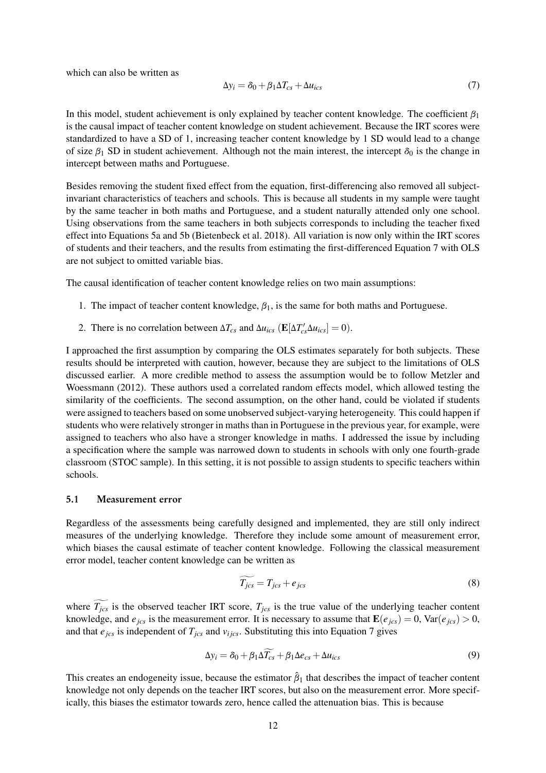which can also be written as

<span id="page-13-0"></span>
$$
\Delta y_i = \delta_0 + \beta_1 \Delta T_{cs} + \Delta u_{ics} \tag{7}
$$

In this model, student achievement is only explained by teacher content knowledge. The coefficient *β*<sup>1</sup> is the causal impact of teacher content knowledge on student achievement. Because the IRT scores were standardized to have a SD of 1, increasing teacher content knowledge by 1 SD would lead to a change of size  $\beta_1$  SD in student achievement. Although not the main interest, the intercept  $\delta_0$  is the change in intercept between maths and Portuguese.

Besides removing the student fixed effect from the equation, first-differencing also removed all subjectinvariant characteristics of teachers and schools. This is because all students in my sample were taught by the same teacher in both maths and Portuguese, and a student naturally attended only one school. Using observations from the same teachers in both subjects corresponds to including the teacher fixed effect into Equations [5a](#page-12-1) and [5b](#page-12-2) [\(Bietenbeck et al.](#page-21-9) [2018\)](#page-21-9). All variation is now only within the IRT scores of students and their teachers, and the results from estimating the first-differenced Equation [7](#page-13-0) with OLS are not subject to omitted variable bias.

The causal identification of teacher content knowledge relies on two main assumptions:

- 1. The impact of teacher content knowledge, *β*1, is the same for both maths and Portuguese.
- 2. There is no correlation between  $\Delta T_{cs}$  and  $\Delta u_{ics}$  ( $\mathbf{E}[\Delta T'_{cs}\Delta u_{ics}] = 0$ ).

I approached the first assumption by comparing the OLS estimates separately for both subjects. These results should be interpreted with caution, however, because they are subject to the limitations of OLS discussed earlier. A more credible method to assess the assumption would be to follow [Metzler and](#page-22-8) [Woessmann](#page-22-8) [\(2012\)](#page-22-8). These authors used a correlated random effects model, which allowed testing the similarity of the coefficients. The second assumption, on the other hand, could be violated if students were assigned to teachers based on some unobserved subject-varying heterogeneity. This could happen if students who were relatively stronger in maths than in Portuguese in the previous year, for example, were assigned to teachers who also have a stronger knowledge in maths. I addressed the issue by including a specification where the sample was narrowed down to students in schools with only one fourth-grade classroom (STOC sample). In this setting, it is not possible to assign students to specific teachers within schools.

#### 5.1 Measurement error

Regardless of the assessments being carefully designed and implemented, they are still only indirect measures of the underlying knowledge. Therefore they include some amount of measurement error, which biases the causal estimate of teacher content knowledge. Following the classical measurement error model, teacher content knowledge can be written as

$$
\widetilde{T_{jcs}} = T_{jcs} + e_{jcs} \tag{8}
$$

where  $\widetilde{T_{jcs}}$  is the observed teacher IRT score,  $T_{jcs}$  is the true value of the underlying teacher content knowledge, and  $e_{ics}$  is the measurement error. It is necessary to assume that  $\mathbf{E}(e_{ics}) = 0$ ,  $\text{Var}(e_{ics}) > 0$ , and that  $e_{jcs}$  is independent of  $T_{jcs}$  and  $v_{ijcs}$ . Substituting this into Equation [7](#page-13-0) gives

$$
\Delta y_i = \delta_0 + \beta_1 \Delta \widetilde{T_{cs}} + \beta_1 \Delta e_{cs} + \Delta u_{ics}
$$
\n(9)

This creates an endogeneity issue, because the estimator  $\hat{\beta}_1$  that describes the impact of teacher content knowledge not only depends on the teacher IRT scores, but also on the measurement error. More specifically, this biases the estimator towards zero, hence called the attenuation bias. This is because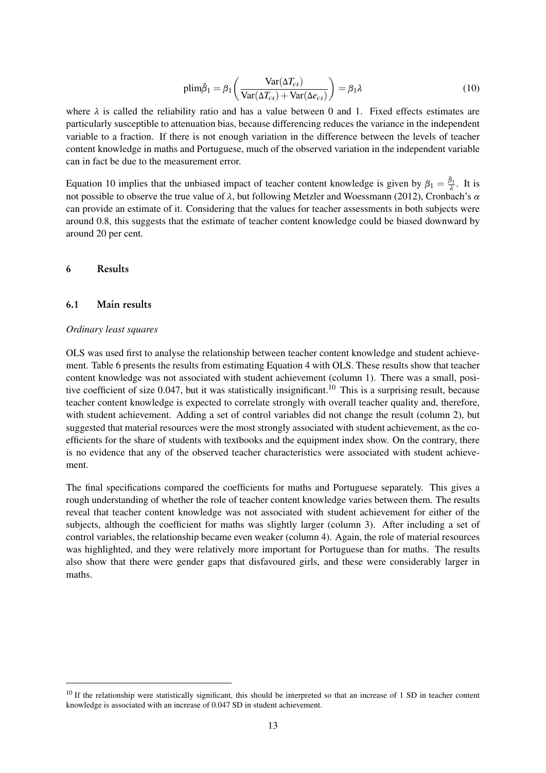<span id="page-14-1"></span>
$$
\text{plim}\hat{\beta}_1 = \beta_1 \left( \frac{\text{Var}(\Delta T_{cs})}{\text{Var}(\Delta T_{cs}) + \text{Var}(\Delta e_{cs})} \right) = \beta_1 \lambda \tag{10}
$$

where  $\lambda$  is called the reliability ratio and has a value between 0 and 1. Fixed effects estimates are particularly susceptible to attenuation bias, because differencing reduces the variance in the independent variable to a fraction. If there is not enough variation in the difference between the levels of teacher content knowledge in maths and Portuguese, much of the observed variation in the independent variable can in fact be due to the measurement error.

Equation [10](#page-14-1) implies that the unbiased impact of teacher content knowledge is given by  $\beta_1 = \frac{\hat{\beta}_1}{\lambda}$ . It is not possible to observe the true value of *λ*, but following [Metzler and Woessmann](#page-22-8) [\(2012\)](#page-22-8), Cronbach's *α* can provide an estimate of it. Considering that the values for teacher assessments in both subjects were around 0.8, this suggests that the estimate of teacher content knowledge could be biased downward by around 20 per cent.

### <span id="page-14-0"></span>6 Results

#### 6.1 Main results

#### *Ordinary least squares*

OLS was used first to analyse the relationship between teacher content knowledge and student achievement. Table [6](#page-15-0) presents the results from estimating Equation [4](#page-12-0) with OLS. These results show that teacher content knowledge was not associated with student achievement (column 1). There was a small, posi-tive coefficient of size 0.047, but it was statistically insignificant.<sup>[10](#page-2-0)</sup> This is a surprising result, because teacher content knowledge is expected to correlate strongly with overall teacher quality and, therefore, with student achievement. Adding a set of control variables did not change the result (column 2), but suggested that material resources were the most strongly associated with student achievement, as the coefficients for the share of students with textbooks and the equipment index show. On the contrary, there is no evidence that any of the observed teacher characteristics were associated with student achievement.

The final specifications compared the coefficients for maths and Portuguese separately. This gives a rough understanding of whether the role of teacher content knowledge varies between them. The results reveal that teacher content knowledge was not associated with student achievement for either of the subjects, although the coefficient for maths was slightly larger (column 3). After including a set of control variables, the relationship became even weaker (column 4). Again, the role of material resources was highlighted, and they were relatively more important for Portuguese than for maths. The results also show that there were gender gaps that disfavoured girls, and these were considerably larger in maths.

 $10$  If the relationship were statistically significant, this should be interpreted so that an increase of 1 SD in teacher content knowledge is associated with an increase of 0.047 SD in student achievement.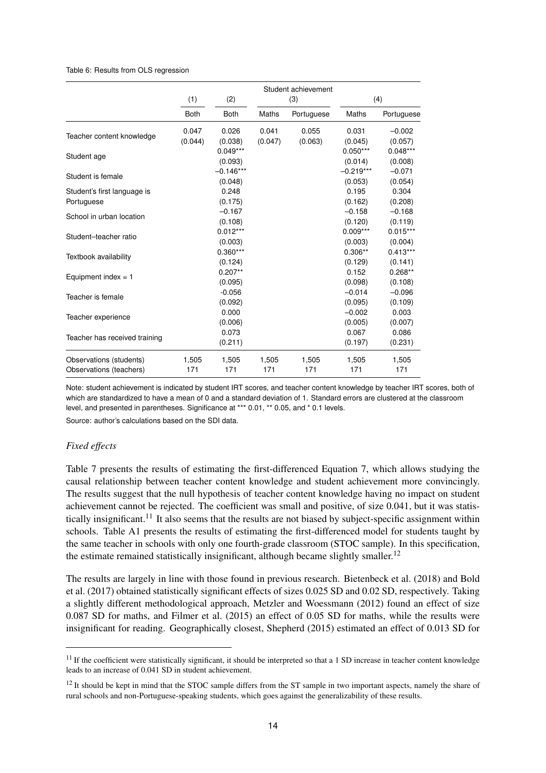#### <span id="page-15-0"></span>Table 6: Results from OLS regression

|                               | (1)         | (2)         |         | Student achievement<br>(3) |              | (4)        |
|-------------------------------|-------------|-------------|---------|----------------------------|--------------|------------|
|                               |             |             |         |                            |              |            |
|                               | <b>Both</b> | <b>Both</b> | Maths   | Portuguese                 | <b>Maths</b> | Portuguese |
|                               | 0.047       | 0.026       | 0.041   | 0.055                      | 0.031        | $-0.002$   |
| Teacher content knowledge     | (0.044)     | (0.038)     | (0.047) | (0.063)                    | (0.045)      | (0.057)    |
|                               |             | $0.049***$  |         |                            | $0.050***$   | $0.048***$ |
| Student age                   |             | (0.093)     |         |                            | (0.014)      | (0.008)    |
| Student is female             |             | $-0.146***$ |         |                            | $-0.219***$  | $-0.071$   |
|                               |             | (0.048)     |         |                            | (0.053)      | (0.054)    |
| Student's first language is   |             | 0.248       |         |                            | 0.195        | 0.304      |
| Portuguese                    |             | (0.175)     |         |                            | (0.162)      | (0.208)    |
|                               |             | $-0.167$    |         |                            | $-0.158$     | $-0.168$   |
| School in urban location      |             | (0.108)     |         |                            | (0.120)      | (0.119)    |
|                               |             | $0.012***$  |         |                            | $0.009***$   | $0.015***$ |
| Student-teacher ratio         |             | (0.003)     |         |                            | (0.003)      | (0.004)    |
| Textbook availability         |             | $0.360***$  |         |                            | $0.306**$    | $0.413***$ |
|                               |             | (0.124)     |         |                            | (0.129)      | (0.141)    |
| Equipment index $= 1$         |             | $0.207**$   |         |                            | 0.152        | $0.268**$  |
|                               |             | (0.095)     |         |                            | (0.098)      | (0.108)    |
| Teacher is female             |             | $-0.056$    |         |                            | $-0.014$     | $-0.096$   |
|                               |             | (0.092)     |         |                            | (0.095)      | (0.109)    |
| Teacher experience            |             | 0.000       |         |                            | $-0.002$     | 0.003      |
|                               |             | (0.006)     |         |                            | (0.005)      | (0.007)    |
| Teacher has received training |             | 0.073       |         |                            | 0.067        | 0.086      |
|                               |             | (0.211)     |         |                            | (0.197)      | (0.231)    |
| Observations (students)       | 1,505       | 1,505       | 1,505   | 1,505                      | 1,505        | 1,505      |
| Observations (teachers)       | 171         | 171         | 171     | 171                        | 171          | 171        |

Note: student achievement is indicated by student IRT scores, and teacher content knowledge by teacher IRT scores, both of which are standardized to have a mean of 0 and a standard deviation of 1. Standard errors are clustered at the classroom level, and presented in parentheses. Significance at \*\*\* 0.01, \*\* 0.05, and \* 0.1 levels.

Source: author's calculations based on the SDI data.

#### *Fixed effects*

Table [7](#page-16-0) presents the results of estimating the first-differenced Equation [7,](#page-13-0) which allows studying the causal relationship between teacher content knowledge and student achievement more convincingly. The results suggest that the null hypothesis of teacher content knowledge having no impact on student achievement cannot be rejected. The coefficient was small and positive, of size 0.041, but it was statis-tically insignificant.<sup>[11](#page-2-0)</sup> It also seems that the results are not biased by subject-specific assignment within schools. Table [A1](#page-24-0) presents the results of estimating the first-differenced model for students taught by the same teacher in schools with only one fourth-grade classroom (STOC sample). In this specification, the estimate remained statistically insignificant, although became slightly smaller.<sup>[12](#page-2-0)</sup>

The results are largely in line with those found in previous research. [Bietenbeck et al.](#page-21-9) [\(2018\)](#page-21-9) and [Bold](#page-21-11) [et al.](#page-21-11) [\(2017\)](#page-21-11) obtained statistically significant effects of sizes 0.025 SD and 0.02 SD, respectively. Taking a slightly different methodological approach, [Metzler and Woessmann](#page-22-8) [\(2012\)](#page-22-8) found an effect of size 0.087 SD for maths, and [Filmer et al.](#page-21-12) [\(2015\)](#page-21-12) an effect of 0.05 SD for maths, while the results were insignificant for reading. Geographically closest, [Shepherd](#page-22-9) [\(2015\)](#page-22-9) estimated an effect of 0.013 SD for

 $11$  If the coefficient were statistically significant, it should be interpreted so that a 1 SD increase in teacher content knowledge leads to an increase of 0.041 SD in student achievement.

 $12$  It should be kept in mind that the STOC sample differs from the ST sample in two important aspects, namely the share of rural schools and non-Portuguese-speaking students, which goes against the generalizability of these results.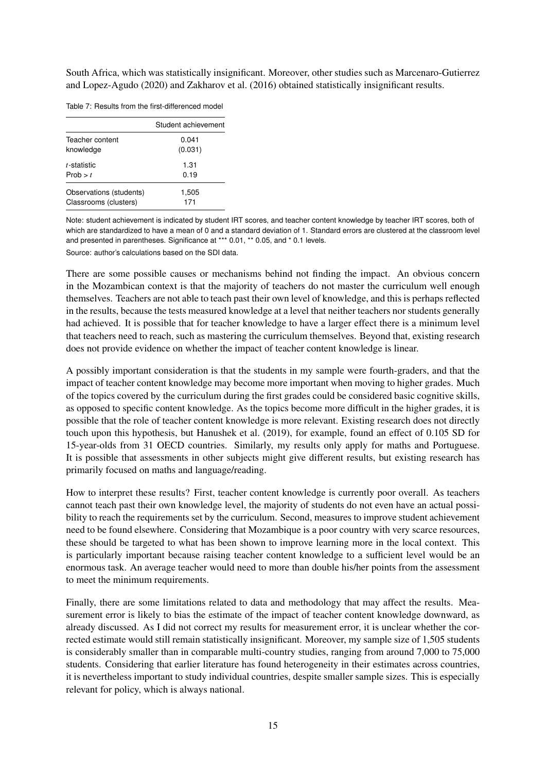South Africa, which was statistically insignificant. Moreover, other studies such as [Marcenaro-Gutierrez](#page-22-7) [and Lopez-Agudo](#page-22-7) [\(2020\)](#page-22-7) and [Zakharov et al.](#page-23-0) [\(2016\)](#page-23-0) obtained statistically insignificant results.

<span id="page-16-0"></span>Table 7: Results from the first-differenced model

|                         | Student achievement |
|-------------------------|---------------------|
| Teacher content         | 0.041               |
| knowledge               | (0.031)             |
| t-statistic             | 1.31                |
| Prob $> t$              | 0.19                |
| Observations (students) | 1,505               |
| Classrooms (clusters)   | 171                 |

Note: student achievement is indicated by student IRT scores, and teacher content knowledge by teacher IRT scores, both of which are standardized to have a mean of 0 and a standard deviation of 1. Standard errors are clustered at the classroom level and presented in parentheses. Significance at \*\*\* 0.01, \*\* 0.05, and \* 0.1 levels.

Source: author's calculations based on the SDI data.

There are some possible causes or mechanisms behind not finding the impact. An obvious concern in the Mozambican context is that the majority of teachers do not master the curriculum well enough themselves. Teachers are not able to teach past their own level of knowledge, and this is perhaps reflected in the results, because the tests measured knowledge at a level that neither teachers nor students generally had achieved. It is possible that for teacher knowledge to have a larger effect there is a minimum level that teachers need to reach, such as mastering the curriculum themselves. Beyond that, existing research does not provide evidence on whether the impact of teacher content knowledge is linear.

A possibly important consideration is that the students in my sample were fourth-graders, and that the impact of teacher content knowledge may become more important when moving to higher grades. Much of the topics covered by the curriculum during the first grades could be considered basic cognitive skills, as opposed to specific content knowledge. As the topics become more difficult in the higher grades, it is possible that the role of teacher content knowledge is more relevant. Existing research does not directly touch upon this hypothesis, but [Hanushek et al.](#page-21-8) [\(2019\)](#page-21-8), for example, found an effect of 0.105 SD for 15-year-olds from 31 OECD countries. Similarly, my results only apply for maths and Portuguese. It is possible that assessments in other subjects might give different results, but existing research has primarily focused on maths and language/reading.

How to interpret these results? First, teacher content knowledge is currently poor overall. As teachers cannot teach past their own knowledge level, the majority of students do not even have an actual possibility to reach the requirements set by the curriculum. Second, measures to improve student achievement need to be found elsewhere. Considering that Mozambique is a poor country with very scarce resources, these should be targeted to what has been shown to improve learning more in the local context. This is particularly important because raising teacher content knowledge to a sufficient level would be an enormous task. An average teacher would need to more than double his/her points from the assessment to meet the minimum requirements.

Finally, there are some limitations related to data and methodology that may affect the results. Measurement error is likely to bias the estimate of the impact of teacher content knowledge downward, as already discussed. As I did not correct my results for measurement error, it is unclear whether the corrected estimate would still remain statistically insignificant. Moreover, my sample size of 1,505 students is considerably smaller than in comparable multi-country studies, ranging from around 7,000 to 75,000 students. Considering that earlier literature has found heterogeneity in their estimates across countries, it is nevertheless important to study individual countries, despite smaller sample sizes. This is especially relevant for policy, which is always national.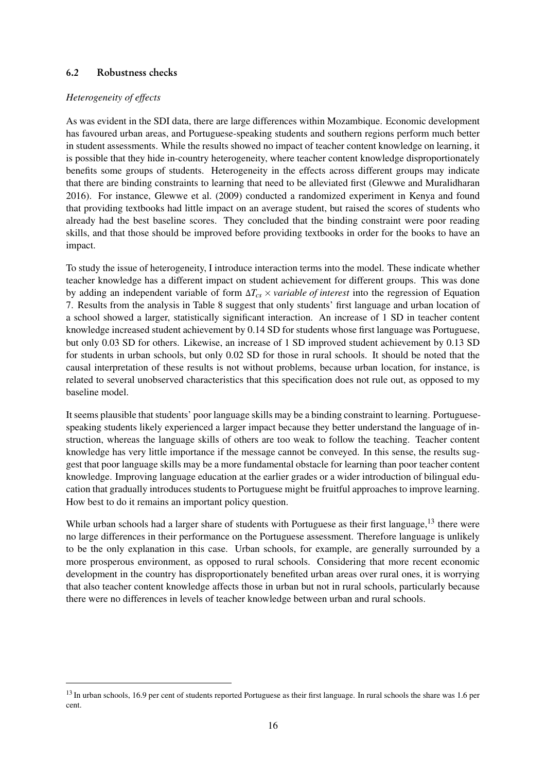## 6.2 Robustness checks

## *Heterogeneity of effects*

As was evident in the SDI data, there are large differences within Mozambique. Economic development has favoured urban areas, and Portuguese-speaking students and southern regions perform much better in student assessments. While the results showed no impact of teacher content knowledge on learning, it is possible that they hide in-country heterogeneity, where teacher content knowledge disproportionately benefits some groups of students. Heterogeneity in the effects across different groups may indicate that there are binding constraints to learning that need to be alleviated first [\(Glewwe and Muralidharan](#page-21-15) [2016\)](#page-21-15). For instance, [Glewwe et al.](#page-21-16) [\(2009\)](#page-21-16) conducted a randomized experiment in Kenya and found that providing textbooks had little impact on an average student, but raised the scores of students who already had the best baseline scores. They concluded that the binding constraint were poor reading skills, and that those should be improved before providing textbooks in order for the books to have an impact.

To study the issue of heterogeneity, I introduce interaction terms into the model. These indicate whether teacher knowledge has a different impact on student achievement for different groups. This was done by adding an independent variable of form ∆*Tcs* × *variable of interest* into the regression of Equation [7.](#page-13-0) Results from the analysis in Table [8](#page-18-0) suggest that only students' first language and urban location of a school showed a larger, statistically significant interaction. An increase of 1 SD in teacher content knowledge increased student achievement by 0.14 SD for students whose first language was Portuguese, but only 0.03 SD for others. Likewise, an increase of 1 SD improved student achievement by 0.13 SD for students in urban schools, but only 0.02 SD for those in rural schools. It should be noted that the causal interpretation of these results is not without problems, because urban location, for instance, is related to several unobserved characteristics that this specification does not rule out, as opposed to my baseline model.

It seems plausible that students' poor language skills may be a binding constraint to learning. Portuguesespeaking students likely experienced a larger impact because they better understand the language of instruction, whereas the language skills of others are too weak to follow the teaching. Teacher content knowledge has very little importance if the message cannot be conveyed. In this sense, the results suggest that poor language skills may be a more fundamental obstacle for learning than poor teacher content knowledge. Improving language education at the earlier grades or a wider introduction of bilingual education that gradually introduces students to Portuguese might be fruitful approaches to improve learning. How best to do it remains an important policy question.

While urban schools had a larger share of students with Portuguese as their first language,<sup>[13](#page-2-0)</sup> there were no large differences in their performance on the Portuguese assessment. Therefore language is unlikely to be the only explanation in this case. Urban schools, for example, are generally surrounded by a more prosperous environment, as opposed to rural schools. Considering that more recent economic development in the country has disproportionately benefited urban areas over rural ones, it is worrying that also teacher content knowledge affects those in urban but not in rural schools, particularly because there were no differences in levels of teacher knowledge between urban and rural schools.

<sup>&</sup>lt;sup>13</sup> In urban schools, 16.9 per cent of students reported Portuguese as their first language. In rural schools the share was 1.6 per cent.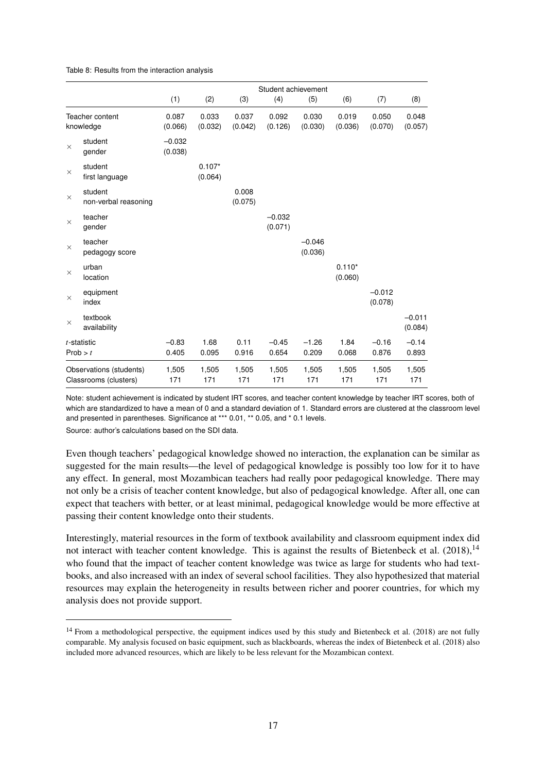|                                                  |                                 | Student achievement |                     |                  |                     |                     |                     |                     |                     |
|--------------------------------------------------|---------------------------------|---------------------|---------------------|------------------|---------------------|---------------------|---------------------|---------------------|---------------------|
|                                                  |                                 | (1)                 | (2)                 | (3)              | (4)                 | (5)                 | (6)                 | (7)                 | (8)                 |
| Teacher content<br>knowledge                     |                                 | 0.087<br>(0.066)    | 0.033<br>(0.032)    | 0.037<br>(0.042) | 0.092<br>(0.126)    | 0.030<br>(0.030)    | 0.019<br>(0.036)    | 0.050<br>(0.070)    | 0.048<br>(0.057)    |
| $\times$                                         | student<br>gender               | $-0.032$<br>(0.038) |                     |                  |                     |                     |                     |                     |                     |
| $\times$                                         | student<br>first language       |                     | $0.107*$<br>(0.064) |                  |                     |                     |                     |                     |                     |
| $\times$                                         | student<br>non-verbal reasoning |                     |                     | 0.008<br>(0.075) |                     |                     |                     |                     |                     |
| $\times$                                         | teacher<br>gender               |                     |                     |                  | $-0.032$<br>(0.071) |                     |                     |                     |                     |
| $\times$                                         | teacher<br>pedagogy score       |                     |                     |                  |                     | $-0.046$<br>(0.036) |                     |                     |                     |
| $\times$                                         | urban<br>location               |                     |                     |                  |                     |                     | $0.110*$<br>(0.060) |                     |                     |
| $\times$                                         | equipment<br>index              |                     |                     |                  |                     |                     |                     | $-0.012$<br>(0.078) |                     |
| $\times$                                         | textbook<br>availability        |                     |                     |                  |                     |                     |                     |                     | $-0.011$<br>(0.084) |
|                                                  | $t$ -statistic<br>Prob > t      | $-0.83$<br>0.405    | 1.68<br>0.095       | 0.11<br>0.916    | $-0.45$<br>0.654    | $-1.26$<br>0.209    | 1.84<br>0.068       | $-0.16$<br>0.876    | $-0.14$<br>0.893    |
| Observations (students)<br>Classrooms (clusters) |                                 | 1,505<br>171        | 1,505<br>171        | 1,505<br>171     | 1,505<br>171        | 1,505<br>171        | 1,505<br>171        | 1,505<br>171        | 1,505<br>171        |

<span id="page-18-0"></span>Table 8: Results from the interaction analysis

Note: student achievement is indicated by student IRT scores, and teacher content knowledge by teacher IRT scores, both of which are standardized to have a mean of 0 and a standard deviation of 1. Standard errors are clustered at the classroom level and presented in parentheses. Significance at \*\*\* 0.01, \*\* 0.05, and \* 0.1 levels.

Source: author's calculations based on the SDI data.

Even though teachers' pedagogical knowledge showed no interaction, the explanation can be similar as suggested for the main results—the level of pedagogical knowledge is possibly too low for it to have any effect. In general, most Mozambican teachers had really poor pedagogical knowledge. There may not only be a crisis of teacher content knowledge, but also of pedagogical knowledge. After all, one can expect that teachers with better, or at least minimal, pedagogical knowledge would be more effective at passing their content knowledge onto their students.

Interestingly, material resources in the form of textbook availability and classroom equipment index did not interact with teacher content knowledge. This is against the results of [Bietenbeck et al.](#page-21-9)  $(2018)$ ,<sup>[14](#page-2-0)</sup> who found that the impact of teacher content knowledge was twice as large for students who had textbooks, and also increased with an index of several school facilities. They also hypothesized that material resources may explain the heterogeneity in results between richer and poorer countries, for which my analysis does not provide support.

 $14$  From a methodological perspective, the equipment indices used by this study and [Bietenbeck et al.](#page-21-9) [\(2018\)](#page-21-9) are not fully comparable. My analysis focused on basic equipment, such as blackboards, whereas the index of [Bietenbeck et al.](#page-21-9) [\(2018\)](#page-21-9) also included more advanced resources, which are likely to be less relevant for the Mozambican context.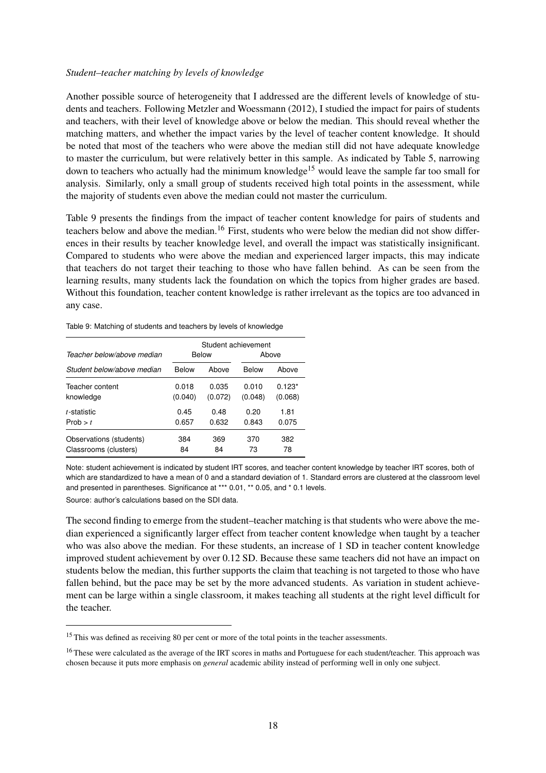#### *Student–teacher matching by levels of knowledge*

Another possible source of heterogeneity that I addressed are the different levels of knowledge of students and teachers. Following [Metzler and Woessmann](#page-22-8) [\(2012\)](#page-22-8), I studied the impact for pairs of students and teachers, with their level of knowledge above or below the median. This should reveal whether the matching matters, and whether the impact varies by the level of teacher content knowledge. It should be noted that most of the teachers who were above the median still did not have adequate knowledge to master the curriculum, but were relatively better in this sample. As indicated by Table [5,](#page-11-1) narrowing down to teachers who actually had the minimum knowledge<sup>[15](#page-2-0)</sup> would leave the sample far too small for analysis. Similarly, only a small group of students received high total points in the assessment, while the majority of students even above the median could not master the curriculum.

Table [9](#page-19-1) presents the findings from the impact of teacher content knowledge for pairs of students and teachers below and above the median.<sup>[16](#page-2-0)</sup> First, students who were below the median did not show differences in their results by teacher knowledge level, and overall the impact was statistically insignificant. Compared to students who were above the median and experienced larger impacts, this may indicate that teachers do not target their teaching to those who have fallen behind. As can be seen from the learning results, many students lack the foundation on which the topics from higher grades are based. Without this foundation, teacher content knowledge is rather irrelevant as the topics are too advanced in any case.

<span id="page-19-1"></span>Table 9: Matching of students and teachers by levels of knowledge

|                            |         |         | Student achievement |          |  |
|----------------------------|---------|---------|---------------------|----------|--|
| Teacher below/above median |         | Below   | Above               |          |  |
| Student below/above median | Below   | Above   | Below               | Above    |  |
| Teacher content            | 0.018   | 0.035   | 0.010               | $0.123*$ |  |
| knowledge                  | (0.040) | (0.072) | (0.048)             | (0.068)  |  |
| t-statistic                | 0.45    | 0.48    | 0.20                | 1.81     |  |
| Prob $> t$                 | 0.657   | 0.632   | 0.843               | 0.075    |  |
| Observations (students)    | 384     | 369     | 370                 | 382      |  |
| Classrooms (clusters)      | 84      | 84      | 73                  | 78       |  |

Note: student achievement is indicated by student IRT scores, and teacher content knowledge by teacher IRT scores, both of which are standardized to have a mean of 0 and a standard deviation of 1. Standard errors are clustered at the classroom level and presented in parentheses. Significance at \*\*\* 0.01, \*\* 0.05, and \* 0.1 levels.

Source: author's calculations based on the SDI data.

The second finding to emerge from the student–teacher matching is that students who were above the median experienced a significantly larger effect from teacher content knowledge when taught by a teacher who was also above the median. For these students, an increase of 1 SD in teacher content knowledge improved student achievement by over 0.12 SD. Because these same teachers did not have an impact on students below the median, this further supports the claim that teaching is not targeted to those who have fallen behind, but the pace may be set by the more advanced students. As variation in student achievement can be large within a single classroom, it makes teaching all students at the right level difficult for the teacher.

<span id="page-19-0"></span><sup>&</sup>lt;sup>15</sup> This was defined as receiving 80 per cent or more of the total points in the teacher assessments.

<sup>&</sup>lt;sup>16</sup> These were calculated as the average of the IRT scores in maths and Portuguese for each student/teacher. This approach was chosen because it puts more emphasis on *general* academic ability instead of performing well in only one subject.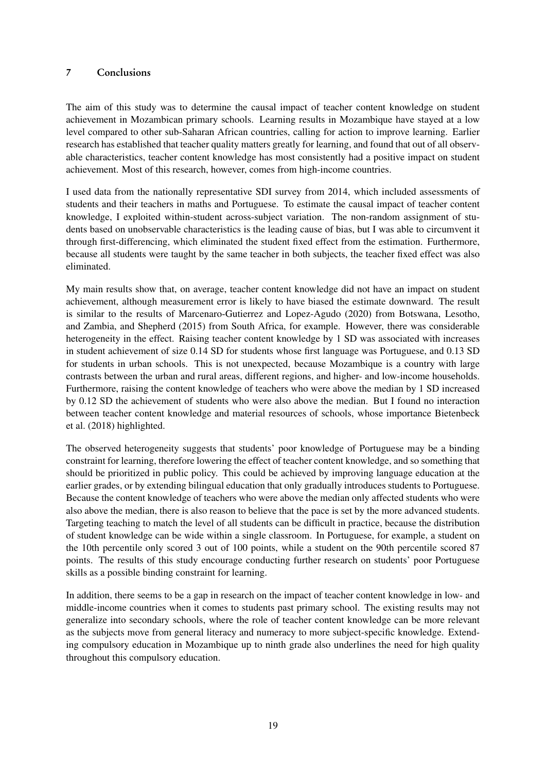## 7 Conclusions

The aim of this study was to determine the causal impact of teacher content knowledge on student achievement in Mozambican primary schools. Learning results in Mozambique have stayed at a low level compared to other sub-Saharan African countries, calling for action to improve learning. Earlier research has established that teacher quality matters greatly for learning, and found that out of all observable characteristics, teacher content knowledge has most consistently had a positive impact on student achievement. Most of this research, however, comes from high-income countries.

I used data from the nationally representative SDI survey from 2014, which included assessments of students and their teachers in maths and Portuguese. To estimate the causal impact of teacher content knowledge, I exploited within-student across-subject variation. The non-random assignment of students based on unobservable characteristics is the leading cause of bias, but I was able to circumvent it through first-differencing, which eliminated the student fixed effect from the estimation. Furthermore, because all students were taught by the same teacher in both subjects, the teacher fixed effect was also eliminated.

My main results show that, on average, teacher content knowledge did not have an impact on student achievement, although measurement error is likely to have biased the estimate downward. The result is similar to the results of [Marcenaro-Gutierrez and Lopez-Agudo](#page-22-7) [\(2020\)](#page-22-7) from Botswana, Lesotho, and Zambia, and [Shepherd](#page-22-9) [\(2015\)](#page-22-9) from South Africa, for example. However, there was considerable heterogeneity in the effect. Raising teacher content knowledge by 1 SD was associated with increases in student achievement of size 0.14 SD for students whose first language was Portuguese, and 0.13 SD for students in urban schools. This is not unexpected, because Mozambique is a country with large contrasts between the urban and rural areas, different regions, and higher- and low-income households. Furthermore, raising the content knowledge of teachers who were above the median by 1 SD increased by 0.12 SD the achievement of students who were also above the median. But I found no interaction between teacher content knowledge and material resources of schools, whose importance [Bietenbeck](#page-21-9) [et al.](#page-21-9) [\(2018\)](#page-21-9) highlighted.

The observed heterogeneity suggests that students' poor knowledge of Portuguese may be a binding constraint for learning, therefore lowering the effect of teacher content knowledge, and so something that should be prioritized in public policy. This could be achieved by improving language education at the earlier grades, or by extending bilingual education that only gradually introduces students to Portuguese. Because the content knowledge of teachers who were above the median only affected students who were also above the median, there is also reason to believe that the pace is set by the more advanced students. Targeting teaching to match the level of all students can be difficult in practice, because the distribution of student knowledge can be wide within a single classroom. In Portuguese, for example, a student on the 10th percentile only scored 3 out of 100 points, while a student on the 90th percentile scored 87 points. The results of this study encourage conducting further research on students' poor Portuguese skills as a possible binding constraint for learning.

In addition, there seems to be a gap in research on the impact of teacher content knowledge in low- and middle-income countries when it comes to students past primary school. The existing results may not generalize into secondary schools, where the role of teacher content knowledge can be more relevant as the subjects move from general literacy and numeracy to more subject-specific knowledge. Extending compulsory education in Mozambique up to ninth grade also underlines the need for high quality throughout this compulsory education.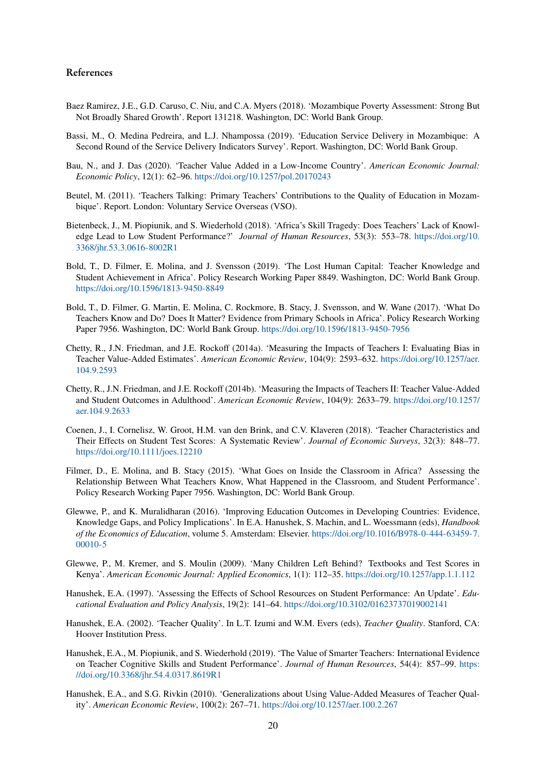#### References

- <span id="page-21-1"></span>Baez Ramirez, J.E., G.D. Caruso, C. Niu, and C.A. Myers (2018). 'Mozambique Poverty Assessment: Strong But Not Broadly Shared Growth'. Report 131218. Washington, DC: World Bank Group.
- <span id="page-21-14"></span>Bassi, M., O. Medina Pedreira, and L.J. Nhampossa (2019). 'Education Service Delivery in Mozambique: A Second Round of the Service Delivery Indicators Survey'. Report. Washington, DC: World Bank Group.
- <span id="page-21-4"></span>Bau, N., and J. Das (2020). 'Teacher Value Added in a Low-Income Country'. *American Economic Journal: Economic Policy*, 12(1): 62–96. <https://doi.org/10.1257/pol.20170243>
- <span id="page-21-13"></span>Beutel, M. (2011). 'Teachers Talking: Primary Teachers' Contributions to the Quality of Education in Mozambique'. Report. London: Voluntary Service Overseas (VSO).
- <span id="page-21-9"></span>Bietenbeck, J., M. Piopiunik, and S. Wiederhold (2018). 'Africa's Skill Tragedy: Does Teachers' Lack of Knowledge Lead to Low Student Performance?' *Journal of Human Resources*, 53(3): 553–78. [https://doi.org/10.](https://doi.org/10.3368/jhr.53.3.0616-8002R1) [3368/jhr.53.3.0616-8002R1](https://doi.org/10.3368/jhr.53.3.0616-8002R1)
- <span id="page-21-10"></span>Bold, T., D. Filmer, E. Molina, and J. Svensson (2019). 'The Lost Human Capital: Teacher Knowledge and Student Achievement in Africa'. Policy Research Working Paper 8849. Washington, DC: World Bank Group. <https://doi.org/10.1596/1813-9450-8849>
- <span id="page-21-11"></span>Bold, T., D. Filmer, G. Martin, E. Molina, C. Rockmore, B. Stacy, J. Svensson, and W. Wane (2017). 'What Do Teachers Know and Do? Does It Matter? Evidence from Primary Schools in Africa'. Policy Research Working Paper 7956. Washington, DC: World Bank Group. <https://doi.org/10.1596/1813-9450-7956>
- <span id="page-21-3"></span>Chetty, R., J.N. Friedman, and J.E. Rockoff (2014a). 'Measuring the Impacts of Teachers I: Evaluating Bias in Teacher Value-Added Estimates'. *American Economic Review*, 104(9): 2593–632. [https://doi.org/10.1257/aer.](https://doi.org/10.1257/aer.104.9.2593) [104.9.2593](https://doi.org/10.1257/aer.104.9.2593)
- <span id="page-21-0"></span>Chetty, R., J.N. Friedman, and J.E. Rockoff (2014b). 'Measuring the Impacts of Teachers II: Teacher Value-Added and Student Outcomes in Adulthood'. *American Economic Review*, 104(9): 2633–79. [https://doi.org/10.1257/](https://doi.org/10.1257/aer.104.9.2633) [aer.104.9.2633](https://doi.org/10.1257/aer.104.9.2633)
- <span id="page-21-6"></span>Coenen, J., I. Cornelisz, W. Groot, H.M. van den Brink, and C.V. Klaveren (2018). 'Teacher Characteristics and Their Effects on Student Test Scores: A Systematic Review'. *Journal of Economic Surveys*, 32(3): 848–77. <https://doi.org/10.1111/joes.12210>
- <span id="page-21-12"></span>Filmer, D., E. Molina, and B. Stacy (2015). 'What Goes on Inside the Classroom in Africa? Assessing the Relationship Between What Teachers Know, What Happened in the Classroom, and Student Performance'. Policy Research Working Paper 7956. Washington, DC: World Bank Group.
- <span id="page-21-15"></span>Glewwe, P., and K. Muralidharan (2016). 'Improving Education Outcomes in Developing Countries: Evidence, Knowledge Gaps, and Policy Implications'. In E.A. Hanushek, S. Machin, and L. Woessmann (eds), *Handbook of the Economics of Education*, volume 5. Amsterdam: Elsevier. [https://doi.org/10.1016/B978-0-444-63459-7.](https://doi.org/10.1016/B978-0-444-63459-7.00010-5) [00010-5](https://doi.org/10.1016/B978-0-444-63459-7.00010-5)
- <span id="page-21-16"></span>Glewwe, P., M. Kremer, and S. Moulin (2009). 'Many Children Left Behind? Textbooks and Test Scores in Kenya'. *American Economic Journal: Applied Economics*, 1(1): 112–35. <https://doi.org/10.1257/app.1.1.112>
- <span id="page-21-7"></span>Hanushek, E.A. (1997). 'Assessing the Effects of School Resources on Student Performance: An Update'. *Educational Evaluation and Policy Analysis*, 19(2): 141–64. <https://doi.org/10.3102/01623737019002141>
- <span id="page-21-2"></span>Hanushek, E.A. (2002). 'Teacher Quality'. In L.T. Izumi and W.M. Evers (eds), *Teacher Quality*. Stanford, CA: Hoover Institution Press.
- <span id="page-21-8"></span>Hanushek, E.A., M. Piopiunik, and S. Wiederhold (2019). 'The Value of Smarter Teachers: International Evidence on Teacher Cognitive Skills and Student Performance'. *Journal of Human Resources*, 54(4): 857–99. [https:](https://doi.org/10.3368/jhr.54.4.0317.8619R1) [//doi.org/10.3368/jhr.54.4.0317.8619R1](https://doi.org/10.3368/jhr.54.4.0317.8619R1)
- <span id="page-21-5"></span>Hanushek, E.A., and S.G. Rivkin (2010). 'Generalizations about Using Value-Added Measures of Teacher Quality'. *American Economic Review*, 100(2): 267–71. <https://doi.org/10.1257/aer.100.2.267>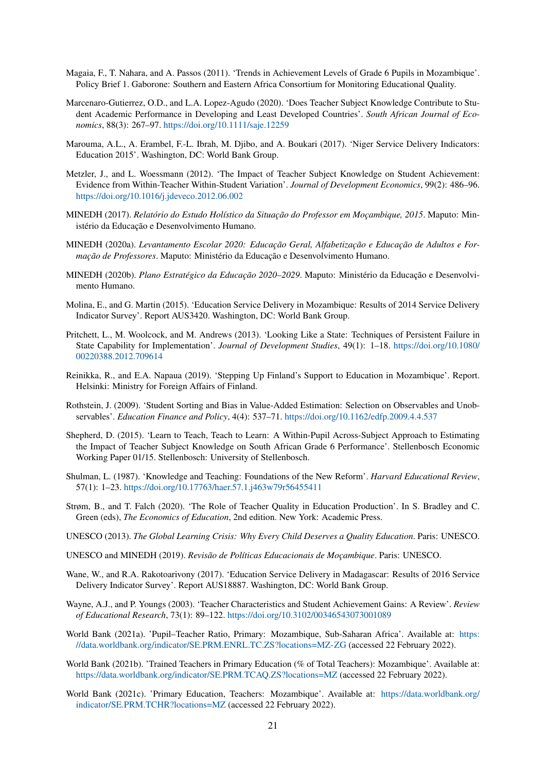- <span id="page-22-18"></span>Magaia, F., T. Nahara, and A. Passos (2011). 'Trends in Achievement Levels of Grade 6 Pupils in Mozambique'. Policy Brief 1. Gaborone: Southern and Eastern Africa Consortium for Monitoring Educational Quality.
- <span id="page-22-7"></span>Marcenaro-Gutierrez, O.D., and L.A. Lopez-Agudo (2020). 'Does Teacher Subject Knowledge Contribute to Student Academic Performance in Developing and Least Developed Countries'. *South African Journal of Economics*, 88(3): 267–97. <https://doi.org/10.1111/saje.12259>
- <span id="page-22-20"></span>Marouma, A.L., A. Erambel, F.-L. Ibrah, M. Djibo, and A. Boukari (2017). 'Niger Service Delivery Indicators: Education 2015'. Washington, DC: World Bank Group.
- <span id="page-22-8"></span>Metzler, J., and L. Woessmann (2012). 'The Impact of Teacher Subject Knowledge on Student Achievement: Evidence from Within-Teacher Within-Student Variation'. *Journal of Development Economics*, 99(2): 486–96. <https://doi.org/10.1016/j.jdeveco.2012.06.002>
- <span id="page-22-17"></span>MINEDH (2017). *Relatório do Estudo Holístico da Situação do Professor em Moçambique, 2015*. Maputo: Ministério da Educação e Desenvolvimento Humano.
- <span id="page-22-13"></span>MINEDH (2020a). *Levantamento Escolar 2020: Educação Geral, Alfabetização e Educação de Adultos e Formação de Professores*. Maputo: Ministério da Educação e Desenvolvimento Humano.
- <span id="page-22-10"></span>MINEDH (2020b). *Plano Estratégico da Educação 2020–2029*. Maputo: Ministério da Educação e Desenvolvimento Humano.
- <span id="page-22-2"></span>Molina, E., and G. Martin (2015). 'Education Service Delivery in Mozambique: Results of 2014 Service Delivery Indicator Survey'. Report AUS3420. Washington, DC: World Bank Group.
- <span id="page-22-1"></span>Pritchett, L., M. Woolcock, and M. Andrews (2013). 'Looking Like a State: Techniques of Persistent Failure in State Capability for Implementation'. *Journal of Development Studies*, 49(1): 1–18. [https://doi.org/10.1080/](https://doi.org/10.1080/00220388.2012.709614) [00220388.2012.709614](https://doi.org/10.1080/00220388.2012.709614)
- <span id="page-22-12"></span>Reinikka, R., and E.A. Napaua (2019). 'Stepping Up Finland's Support to Education in Mozambique'. Report. Helsinki: Ministry for Foreign Affairs of Finland.
- <span id="page-22-4"></span>Rothstein, J. (2009). 'Student Sorting and Bias in Value-Added Estimation: Selection on Observables and Unobservables'. *Education Finance and Policy*, 4(4): 537–71. <https://doi.org/10.1162/edfp.2009.4.4.537>
- <span id="page-22-9"></span>Shepherd, D. (2015). 'Learn to Teach, Teach to Learn: A Within-Pupil Across-Subject Approach to Estimating the Impact of Teacher Subject Knowledge on South African Grade 6 Performance'. Stellenbosch Economic Working Paper 01/15. Stellenbosch: University of Stellenbosch.
- <span id="page-22-6"></span>Shulman, L. (1987). 'Knowledge and Teaching: Foundations of the New Reform'. *Harvard Educational Review*, 57(1): 1–23. <https://doi.org/10.17763/haer.57.1.j463w79r56455411>
- <span id="page-22-3"></span>Strøm, B., and T. Falch (2020). 'The Role of Teacher Quality in Education Production'. In S. Bradley and C. Green (eds), *The Economics of Education*, 2nd edition. New York: Academic Press.
- <span id="page-22-0"></span>UNESCO (2013). *The Global Learning Crisis: Why Every Child Deserves a Quality Education*. Paris: UNESCO.
- <span id="page-22-11"></span>UNESCO and MINEDH (2019). *Revisão de Políticas Educacionais de Moçambique*. Paris: UNESCO.
- <span id="page-22-19"></span>Wane, W., and R.A. Rakotoarivony (2017). 'Education Service Delivery in Madagascar: Results of 2016 Service Delivery Indicator Survey'. Report AUS18887. Washington, DC: World Bank Group.
- <span id="page-22-5"></span>Wayne, A.J., and P. Youngs (2003). 'Teacher Characteristics and Student Achievement Gains: A Review'. *Review of Educational Research*, 73(1): 89–122. <https://doi.org/10.3102/00346543073001089>
- <span id="page-22-14"></span>World Bank (2021a). 'Pupil–Teacher Ratio, Primary: Mozambique, Sub-Saharan Africa'. Available at: [https:](https://data.worldbank.org/indicator/SE.PRM.ENRL.TC.ZS?locations=MZ-ZG) [//data.worldbank.org/indicator/SE.PRM.ENRL.TC.ZS?locations=MZ-ZG](https://data.worldbank.org/indicator/SE.PRM.ENRL.TC.ZS?locations=MZ-ZG) (accessed 22 February 2022).
- <span id="page-22-15"></span>World Bank (2021b). 'Trained Teachers in Primary Education (% of Total Teachers): Mozambique'. Available at: <https://data.worldbank.org/indicator/SE.PRM.TCAQ.ZS?locations=MZ> (accessed 22 February 2022).
- <span id="page-22-16"></span>World Bank (2021c). 'Primary Education, Teachers: Mozambique'. Available at: [https://data.worldbank.org/](https://data.worldbank.org/indicator/SE.PRM.TCHR?locations=MZ) [indicator/SE.PRM.TCHR?locations=MZ](https://data.worldbank.org/indicator/SE.PRM.TCHR?locations=MZ) (accessed 22 February 2022).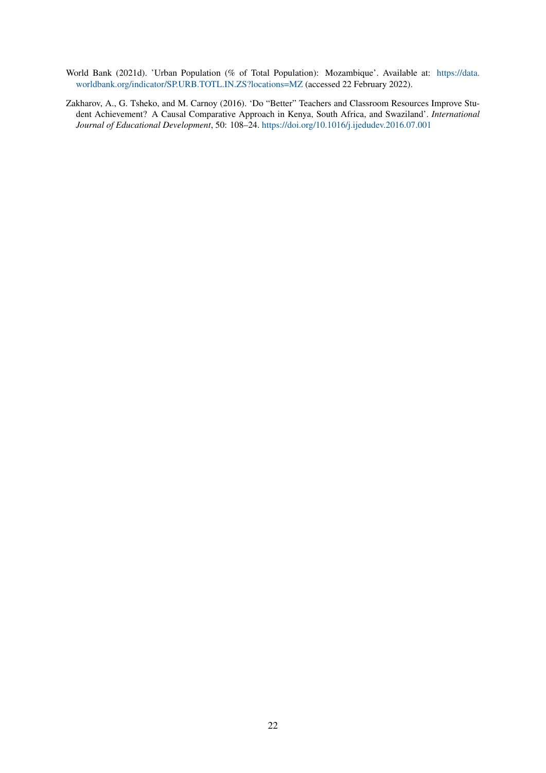- <span id="page-23-1"></span>World Bank (2021d). 'Urban Population (% of Total Population): Mozambique'. Available at: [https://data.](https://data.worldbank.org/indicator/SP.URB.TOTL.IN.ZS?locations=MZ) [worldbank.org/indicator/SP.URB.TOTL.IN.ZS?locations=MZ](https://data.worldbank.org/indicator/SP.URB.TOTL.IN.ZS?locations=MZ) (accessed 22 February 2022).
- <span id="page-23-0"></span>Zakharov, A., G. Tsheko, and M. Carnoy (2016). 'Do "Better" Teachers and Classroom Resources Improve Student Achievement? A Causal Comparative Approach in Kenya, South Africa, and Swaziland'. *International Journal of Educational Development*, 50: 108–24. <https://doi.org/10.1016/j.ijedudev.2016.07.001>